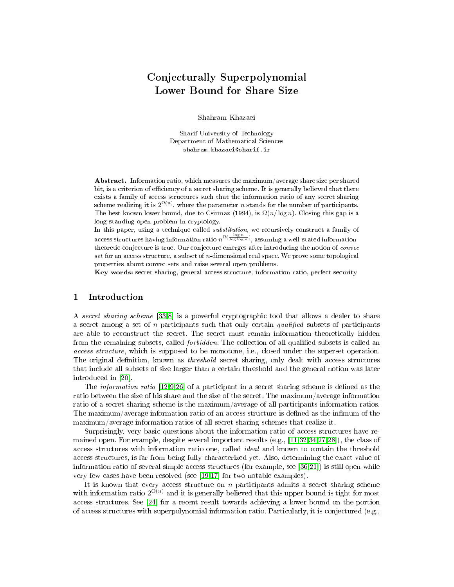# Conjecturally Superpolynomial Lower Bound for Share Size

Shahram Khazaei

Sharif University of Technology Department of Mathematical Sciences shahram.khazaei@sharif.ir

Abstract. Information ratio, which measures the maximum/average share size per shared bit, is a criterion of efficiency of a secret sharing scheme. It is generally believed that there exists a family of access structures such that the information ratio of any secret sharing scheme realizing it is  $2^{\Omega(n)}$ , where the parameter n stands for the number of participants. The best known lower bound, due to Csirmaz (1994), is  $\Omega(n/\log n)$ . Closing this gap is a long-standing open problem in cryptology.

In this paper, using a technique called *substitution*, we recursively construct a family of access structures having information ratio  $n^{\Omega(\frac{\log n}{\log\log n})},$  assuming a well-stated informationtheoretic conjecture is true. Our conjecture emerges after introducing the notion of convec set for an access structure, a subset of  $n$ -dimensional real space. We prove some topological properties about convec sets and raise several open problems.

Key words: secret sharing, general access structure, information ratio, perfect security

# 1 Introduction

A secret sharing scheme [\[33,](#page-20-0)[8\]](#page-19-0) is a powerful cryptographic tool that allows a dealer to share a secret among a set of n participants such that only certain qualified subsets of participants are able to reconstruct the secret. The secret must remain information theoretically hidden from the remaining subsets, called *forbidden*. The collection of all qualified subsets is called an access structure, which is supposed to be monotone, i.e., closed under the superset operation. The original definition, known as *threshold* secret sharing, only dealt with access structures that include all subsets of size larger than a certain threshold and the general notion was later introduced in [\[20\]](#page-20-1).

The *information ratio*  $[12,9,26]$  $[12,9,26]$  $[12,9,26]$  of a participant in a secret sharing scheme is defined as the ratio between the size of his share and the size of the secret. The maximum/average information ratio of a secret sharing scheme is the maximum/average of all participants information ratios. The maximum/average information ratio of an access structure is defined as the infimum of the maximum/average information ratios of all secret sharing schemes that realize it.

Surprisingly, very basic questions about the information ratio of access structures have remained open. For example, despite several important results (e.g., [\[11](#page-19-3)[,32,](#page-20-3)[34,](#page-20-4)[27,](#page-20-5)[28\]](#page-20-6)), the class of access structures with information ratio one, called ideal and known to contain the threshold access structures, is far from being fully characterized yet. Also, determining the exact value of information ratio of several simple access structures (for example, see [\[36,](#page-20-7)[21\]](#page-20-8)) is still open while very few cases have been resolved (see [\[19,](#page-19-4)[17\]](#page-19-5) for two notable examples).

It is known that every access structure on  $n$  participants admits a secret sharing scheme with information ratio  $2^{O(n)}$  and it is generally believed that this upper bound is tight for most access structures. See [\[24\]](#page-20-9) for a recent result towards achieving a lower bound on the portion of access structures with superpolynomial information ratio. Particularly, it is conjectured (e.g.,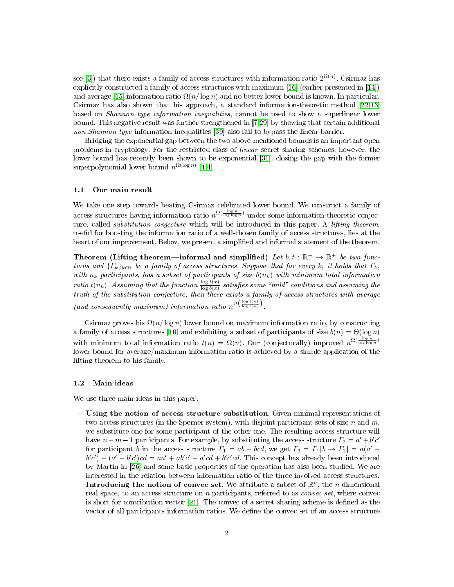see [\[3\]](#page-19-6)) that there exists a family of access structures with information ratio  $2^{\Omega(n)}$ . Csirmaz has explicitly constructed a family of access structures with maximum [\[16\]](#page-19-7) (earlier presented in [\[14\]](#page-19-8)) and average [\[15\]](#page-19-9) information ratio  $\Omega(n/\log n)$  and no better lower bound is known. In particular, Csirmaz has also shown that his approach, a standard information-theoretic method [\[22](#page-20-10)[,13\]](#page-19-10) based on Shannon type information inequalities, cannot be used to show a superlinear lower bound. This negative result was further strengthened in [\[7,](#page-19-11)[29\]](#page-20-11) by showing that certain additional non-Shannon type information inequalities [\[39\]](#page-20-12) also fail to bypass the linear barrier.

Bridging the exponential gap between the two above-mentioned bounds is an important open problems in cryptology. For the restricted class of linear secret-sharing schemes, however, the lower bound has recently been shown to be exponential [\[31\]](#page-20-13), closing the gap with the former superpolynomial lower bound  $n^{\Omega(\log n)}$  [\[1,](#page-19-12)[4\]](#page-19-13).

### 1.1 Our main result

We take one step towards beating Csirmaz celebrated lower bound. We construct a family of access structures having information ratio  $n^{\Omega(\frac{\log n}{\log\log n})}$  under some information-theoretic conjecture, called *substitution conjecture* which will be introduced in this paper. A *lifting theorem*, useful for boosting the information ratio of a well-chosen family of access structures, lies at the heart of our improvement. Below, we present a simplified and informal statement of the theorem.

Theorem (Lifting theorem—informal and simplified) Let  $b, t : \mathbb{R}^+ \to \mathbb{R}^+$  be two functions and  $\{\Gamma_k\}_{k\in\mathbb{N}}$  be a family of access structures. Suppose that for every k, it holds that  $\Gamma_k$ , with  $n_k$  participants, has a subset of participants of size  $b(n_k)$  with minimum total information ratio t(n<sub>k</sub>). Assuming that the function  $\frac{\log t(x)}{\log b(x)}$  satisfies some "mild" conditions and assuming the truth of the substitution conjecture, then there exists a family of access structures with average (and consequently maximum) information ratio  $n^{\Omega\left(\frac{\log t(n)}{\log b(n)}\right)}$ .

Csirmaz proves his  $\Omega(n/\log n)$  lower bound on maximum information ratio, by constructing a family of access structures [\[16\]](#page-19-7) and exhibiting a subset of participants of size  $b(n) = \Theta(\log n)$ with minimum total information ratio  $t(n) = \Omega(n)$ . Our (conjecturally) improved  $n^{\Omega(\frac{\log n}{\log \log n})}$ lower bound for average/maximum information ratio is achieved by a simple application of the lifting theorem to his family.

#### 1.2 Main ideas

We use three main ideas in this paper:

- Using the notion of access structure substitution. Given minimal representations of two access structures (in the Sperner system), with disjoint participant sets of size n and  $m$ , we substitute one for some participant of the other one. The resulting access structure will have  $n + m - 1$  participants. For example, by substituting the access structure  $\Gamma_2 = a' + b'c'$ for participant b in the access structure  $\Gamma_1 = ab + bcd$ , we get  $\Gamma_3 = \Gamma_1[b \to \Gamma_2] = a(a' + b')$  $b'c' + a'c'$ ) $cd = aa' + ab'c' + a'cd + b'c'cd$ . This concept has already been introduced by Martin in [\[26\]](#page-20-2) and some basic properties of the operation has also been studied. We are interested in the relation between information ratio of the three involved access structures.
- Introducing the notion of convec set. We attribute a subset of  $\mathbb{R}^n$ , the *n*-dimensional real space, to an access structure on  $n$  participants, referred to as *convec set*, where convec is short for contribution vector [\[21\]](#page-20-8). The convec of a secret sharing scheme is defined as the vector of all participants information ratios. We dene the convec set of an access structure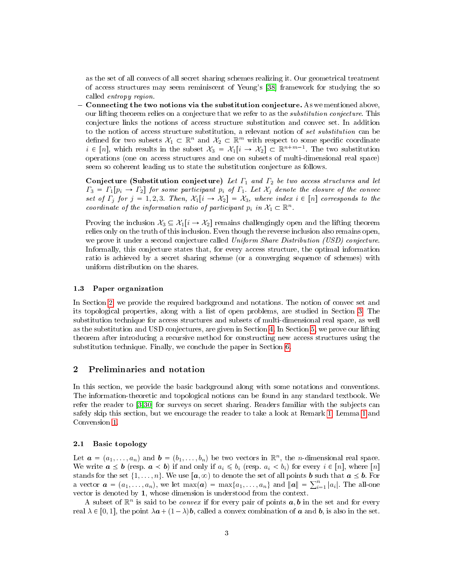as the set of all convecs of all secret sharing schemes realizing it. Our geometrical treatment of access structures may seem reminiscent of Yeung's [\[38\]](#page-20-14) framework for studying the so called entropy region.

- Connecting the two notions via the substitution conjecture. As we mentioned above, our lifting theorem relies on a conjecture that we refer to as the substitution conjecture. This conjecture links the notions of access structure substitution and convec set. In addition to the notion of access structure substitution, a relevant notion of set substitution can be defined for two subsets  $\mathcal{X}_1 \subset \mathbb{R}^n$  and  $\mathcal{X}_2 \subset \mathbb{R}^m$  with respect to some specific coordinate  $i \in [n]$ , which results in the subset  $\mathcal{X}_3 = \mathcal{X}_1[i \to \mathcal{X}_2] \subset \mathbb{R}^{n+m-1}$ . The two substitution operations (one on access structures and one on subsets of multi-dimensional real space) seem so coherent leading us to state the substitution conjecture as follows.

Conjecture (Substitution conjecture) Let  $\Gamma_1$  and  $\Gamma_2$  be two access structures and let  $\Gamma_3 = \Gamma_1[p_i \to \Gamma_2]$  for some participant  $p_i$  of  $\Gamma_1$ . Let  $\mathcal{X}_j$  denote the closure of the convec set of  $\Gamma_j$  for  $j = 1, 2, 3$ . Then,  $\mathcal{X}_1[i \to \mathcal{X}_2] = \mathcal{X}_3$ , where index  $i \in [n]$  corresponds to the coordinate of the information ratio of participant  $p_i$  in  $\mathcal{X}_1 \subset \mathbb{R}^n$ .

Proving the inclusion  $\mathcal{X}_3 \subseteq \mathcal{X}_1[i \to \mathcal{X}_2]$  remains challengingly open and the lifting theorem relies only on the truth of this inclusion. Even though the reverse inclusion also remains open, we prove it under a second conjecture called Uniform Share Distribution (USD) conjecture. Informally, this conjecture states that, for every access structure, the optimal information ratio is achieved by a secret sharing scheme (or a converging sequence of schemes) with uniform distribution on the shares.

# 1.3 Paper organization

In Section [2,](#page-2-0) we provide the required background and notations. The notion of convec set and its topological properties, along with a list of open problems, are studied in Section [3.](#page-4-0) The substitution technique for access structures and subsets of multi-dimensional real space, as well as the substitution and USD conjectures, are given in Section [4.](#page-9-0) In Section [5,](#page-13-0) we prove our lifting theorem after introducing a recursive method for constructing new access structures using the substitution technique. Finally, we conclude the paper in Section [6.](#page-18-0)

### <span id="page-2-0"></span>2 Preliminaries and notation

In this section, we provide the basic background along with some notations and conventions. The information-theoretic and topological notions can be found in any standard textbook. We refer the reader to [\[3](#page-19-6)[,30\]](#page-20-15) for surveys on secret sharing. Readers familiar with the subjects can safely skip this section, but we encourage the reader to take a look at Remark [1,](#page-3-0) Lemma [1](#page-4-1) and Convension [1.](#page-4-2)

### 2.1 Basic topology

Let  $\mathbf{a} = (a_1, \ldots, a_n)$  and  $\mathbf{b} = (b_1, \ldots, b_n)$  be two vectors in  $\mathbb{R}^n$ , the *n*-dimensional real space. We write  $\mathbf{a} \leq \mathbf{b}$  (resp.  $\mathbf{a} \leq \mathbf{b}$ ) if and only if  $a_i \leq b_i$  (resp.  $a_i \leq b_i$ ) for every  $i \in [n]$ , where  $[n]$ stands for the set  $\{1, \ldots, n\}$ . We use  $[a, \infty)$  to denote the set of all points **b** such that  $a \leq b$ . For a vector  $\boldsymbol{a} = (a_1, \ldots, a_n)$ , we let  $\max(\boldsymbol{a}) = \max\{a_1, \ldots, a_n\}$  and  $\|\boldsymbol{a}\| = \sum_{i=1}^n |a_i|$ . The all-one vector is denoted by 1, whose dimension is understood from the context.

A subset of  $\mathbb{R}^n$  is said to be *convex* if for every pair of points  $a, b$  in the set and for every real  $\lambda \in [0, 1]$ , the point  $\lambda a + (1 - \lambda)b$ , called a convex combination of a and b, is also in the set.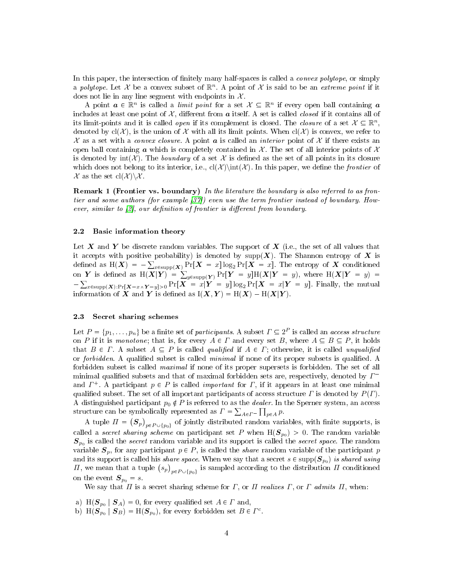In this paper, the intersection of finitely many half-spaces is called a *convex polytope*, or simply a polytope. Let X be a convex subset of  $\mathbb{R}^n$ . A point of X is said to be an extreme point if it does not lie in any line segment with endpoints in  $\mathcal{X}$ .

A point  $a \in \mathbb{R}^n$  is called a *limit point* for a set  $\mathcal{X} \subseteq \mathbb{R}^n$  if every open ball containing a includes at least one point of  $\mathcal{X}$ , different from  $\boldsymbol{a}$  itself. A set is called *closed* if it contains all of its limit-points and it is called *open* if its complement is closed. The *closure* of a set  $X \subseteq \mathbb{R}^n$ , denoted by  $cl(\mathcal{X})$ , is the union of X with all its limit points. When  $cl(\mathcal{X})$  is convex, we refer to X as a set with a convex closure. A point **a** is called an *interior* point of X if there exists an open ball containing  $\alpha$  which is completely contained in  $\mathcal X$ . The set of all interior points of  $\mathcal X$ is denoted by  $int(\mathcal{X})$ . The *boundary* of a set X is defined as the set of all points in its closure which does not belong to its interior, i.e.,  $cl(\mathcal{X})$  in this paper, we define the *frontier* of  $\mathcal X$  as the set  $\text{cl}(\mathcal X)\backslash \mathcal X$ .

<span id="page-3-0"></span>Remark 1 (Frontier vs. boundary) In the literature the boundary is also referred to as frontier and some authors (for example [\[37\]](#page-20-16)) even use the term frontier instead of boundary. However, similar to  $[2]$ , our definition of frontier is different from boundary.

# 2.2 Basic information theory

Let X and Y be discrete random variables. The support of  $X$  (i.e., the set of all values that it accepts with positive probability) is denoted by supp $(X)$ . The Shannon entropy of X is defined as  ${\rm H}(\bm{X})\,=\,-\sum_{x\in \text{supp}(\bm{X})} \Pr[\bm{X}\,=\,x] \log_2 \Pr[\bm{X}\,=\,x].$  The entropy of  $\bm{X}$  conditioned on Y is defined as  $H(X|Y) = \sum_{y \in \text{supp}(Y)} Pr[Y = y]H(X|Y = y)$ , where  $H(X|Y = y) =$  $-\sum_{x\in \text{supp}(\boldsymbol{X}): \Pr[\boldsymbol{X}=x \wedge \boldsymbol{Y}=y] > 0} \Pr[\boldsymbol{X}~=~x|\boldsymbol{Y}~=~y] \log_2 \Pr[\boldsymbol{X}~=~x|\boldsymbol{Y}~=~y]$ . Finally, the mutual information of X and Y is defined as  $I(X, Y) = H(X) - H(X|Y)$ .

### <span id="page-3-1"></span>2.3 Secret sharing schemes

Let  $P = \{p_1, \ldots, p_n\}$  be a finite set of participants. A subset  $\Gamma \subseteq 2^P$  is called an access structure on P if it is monotone; that is, for every  $A \in \Gamma$  and every set B, where  $A \subseteq B \subseteq P$ , it holds that  $B \in \Gamma$ . A subset  $A \subseteq P$  is called qualified if  $A \in \Gamma$ ; otherwise, it is called unqualified or forbidden. A qualified subset is called minimal if none of its proper subsets is qualified. A forbidden subset is called maximal if none of its proper supersets is forbidden. The set of all minimal qualified subsets and that of maximal forbidden sets are, respectively, denoted by  $\Gamma^$ and  $\Gamma^+$ . A participant  $p \in P$  is called *important* for  $\Gamma$ , if it appears in at least one minimal qualified subset. The set of all important participants of access structure  $\Gamma$  is denoted by  $P(\Gamma)$ . A distinguished participant  $p_0 \notin P$  is referred to as the *dealer*. In the Sperner system, an access structure can be symbolically represented as  $\Gamma = \sum_{A \in \Gamma^-} \prod_{p \in A} p$ .

A tuple  $\varPi = \big( \boldsymbol{S}_p \big)_{p \in P \cup \{p_0\}}$  of jointly distributed random variables, with finite supports, is called a secret sharing scheme on participant set P when  $H(\mathcal{S}_{p0}) > 0$ . The random variable  $S_{p_0}$  is called the secret random variable and its support is called the secret space. The random variable  $S_p$ , for any participant  $p \in P$ , is called the *share* random variable of the participant p and its support is called his *share space*. When we say that a secret  $s \in \mathrm{supp}(\bm{S}_{p_0})$  *is shared using*  $\Pi,$  we mean that a tuple  $\big(s_p\big)_{p \in P \cup \{p_0\}}$  is sampled according to the distribution  $\Pi$  conditioned on the event  $S_{p_0} = s$ .

We say that  $\Pi$  is a secret sharing scheme for  $\Gamma$ , or  $\Pi$  realizes  $\Gamma$ , or  $\Gamma$  admits  $\Pi$ , when:

- a)  $H(\mathbf{S}_{p_0} | \mathbf{S}_A) = 0$ , for every qualified set  $A \in \Gamma$  and,
- b)  $H(\mathbf{S}_{p_0} | \mathbf{S}_B) = H(\mathbf{S}_{p_0}),$  for every forbidden set  $B \in \Gamma^c$ .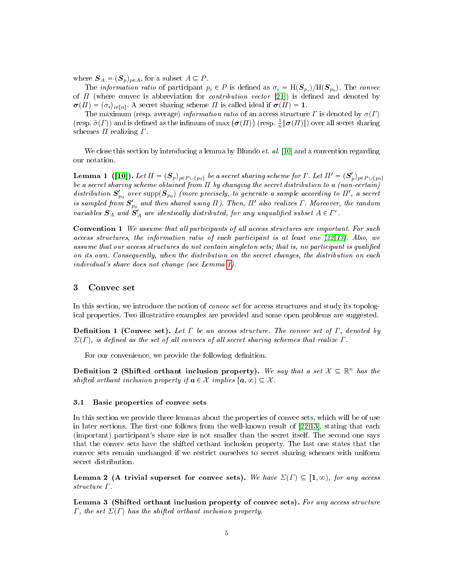where  $S_A = (S_p)_{p \in A}$ , for a subset  $A \subseteq P$ .

The *information ratio* of participant  $p_i \in P$  is defined as  $\sigma_i = \text{H}(\mathcal{S}_{p_i})/\text{H}(\mathcal{S}_{p_0})$ . The *convec* of  $\Pi$  (where convec is abbreviation for *contribution vector* [\[21\]](#page-20-8)) is defined and denoted by  $\sigma(\Pi) = (\sigma_i)_{i \in [n]}$ . A secret sharing scheme  $\Pi$  is called ideal if  $\sigma(\Pi) = 1$ .

The maximum (resp. average) information ratio of an access structure  $\Gamma$  is denoted by  $\sigma(\Gamma)$ (resp.  $\tilde{\sigma}(\Gamma)$ ) and is defined as the infimum of max  $(\sigma(\Pi))$  (resp.  $\frac{1}{n} \|\sigma(\Pi)\|$ ) over all secret sharing schemes  $\Pi$  realizing  $\Gamma$ .

We close this section by introducing a lemma by Blundo *et. al.* [\[10\]](#page-19-15) and a convention regarding our notation.

<span id="page-4-1"></span>**Lemma 1** ([\[10\]](#page-19-15)). Let  $\Pi = (\mathbf{S}_p)_{p \in P \cup \{p_0\}}$  be a secret sharing scheme for  $\Gamma$ . Let  $\Pi' = (\mathbf{S}'_p)_{p \in P \cup \{p_0\}}$ be a secret sharing scheme obtained from Π by changing the secret distribution to a (non-certain) distribution  $S'_{p_0}$  over  ${\rm supp}({\bf S}_{p_0})$  (more precisely, to generate a sample according to  $\Pi'$ , a secret is sampled from  $\boldsymbol{S}'_{p_0}$  and then shared using  $\Pi$ ). Then,  $\Pi'$  also realizes  $\Gamma$ . Moreover, the random variables  $S_A$  and  $S'_A$  are identically distributed, for any unqualified subset  $A \in \Gamma^c$ .

<span id="page-4-2"></span>Convention 1 We assume that all participants of all access structures are important. For such access structures, the information ratio of each participant is at least one [\[22,](#page-20-10)[13\]](#page-19-10). Also, we assume that our access structures do not contain singleton sets; that is, no participant is qualified on its own. Consequently, when the distribution on the secret changes, the distribution on each individual's share does not change (see Lemma [1\)](#page-4-1).

### <span id="page-4-0"></span>3 Convec set

In this section, we introduce the notion of convec set for access structures and study its topological properties. Two illustrative examples are provided and some open problems are suggested.

**Definition 1** (Convec set). Let  $\Gamma$  be an access structure. The convec set of  $\Gamma$ , denoted by  $\Sigma(\Gamma)$ , is defined as the set of all convecs of all secret sharing schemes that realize  $\Gamma$ .

For our convenience, we provide the following definition.

Definition 2 (Shifted orthant inclusion property). We say that a set  $X \subseteq \mathbb{R}^n$  has the shifted orthant inclusion property if  $a \in \mathcal{X}$  implies  $[a, \infty) \subseteq \mathcal{X}$ .

## 3.1 Basic properties of convec sets

In this section we provide three lemmas about the properties of convec sets, which will be of use in later sections. The first one follows from the well-known result of  $[22.13]$  $[22.13]$ , stating that each (important) participant's share size is not smaller than the secret itself. The second one says that the convec sets have the shifted orthant inclusion property. The last one states that the convec sets remain unchanged if we restrict ourselves to secret sharing schemes with uniform secret distribution.

<span id="page-4-4"></span>Lemma 2 (A trivial superset for convec sets). We have  $\Sigma(\Gamma) \subseteq [1, \infty)$ , for any access structure Γ.

<span id="page-4-3"></span>Lemma 3 (Shifted orthant inclusion property of convec sets). For any access structure  $\Gamma$ , the set  $\Sigma(\Gamma)$  has the shifted orthant inclusion property.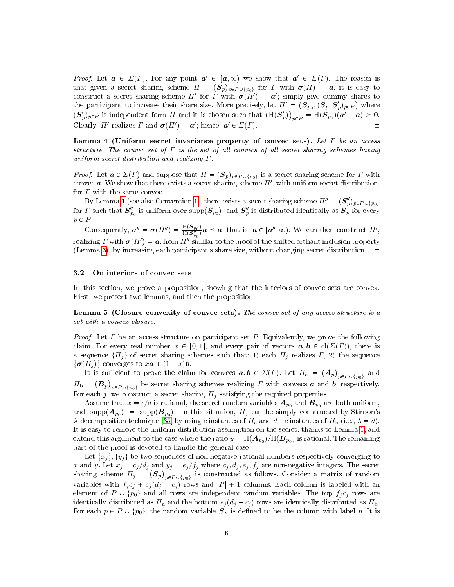*Proof.* Let  $a \in \Sigma(\Gamma)$ . For any point  $a' \in [a, \infty)$  we show that  $a' \in \Sigma(\Gamma)$ . The reason is that given a secret sharing scheme  $\Pi = (\mathcal{S}_p)_{p \in P \cup \{p_0\}}$  for  $\Gamma$  with  $\boldsymbol{\sigma}(\Pi) = \boldsymbol{a}$ , it is easy to construct a secret sharing scheme  $\Pi'$  for  $\Gamma$  with  $\sigma(\Pi') = a'$ ; simply give dummy shares to the participant to increase their share size. More precisely, let  $\Pi' = \left(\bm{S}_{p_0}, (\bm{S}_p, \bm{S}'_p)_{p \in P}\right)$  where  $(\mathbf{S}_p')_{p\in P}$  is independent form  $\Pi$  and it is chosen such that  $(\text{H}(\mathbf{S}_p'))_{p\in P} = \text{H}(\mathbf{S}_{p_0})(\mathbf{a}' - \mathbf{a}) \geq \mathbf{0}$ . Clearly,  $\Pi'$  realizes  $\Gamma$  and  $\sigma(\Pi') = a'$ ; hence,  $a' \in \Sigma(\Gamma)$ .

Lemma 4 (Uniform secret invariance property of convec sets). Let  $\Gamma$  be an access structure. The convec set of  $\Gamma$  is the set of all convecs of all secret sharing schemes having uniform secret distribution and realizing Γ.

*Proof.* Let  $a \in \Sigma(\Gamma)$  and suppose that  $\Pi = (\mathcal{S}_p)_{p \in P \cup \{p_0\}}$  is a secret sharing scheme for  $\Gamma$  with convec  $a$ . We show that there exists a secret sharing scheme  $\Pi'$ , with uniform secret distribution, for  $\Gamma$  with the same convec.

By Lemma [1](#page-4-1) (see also Convention [1\)](#page-4-2), there exists a secret sharing scheme  $\Pi'' = (\mathbf{S}_p'')_{p \in P \cup \{p_0\}}$ for  $\varGamma$  such that  $S_{p_0}''$  is uniform over  ${\rm supp}({\bm S}_{p_0}),$  and  ${\bm S}_p''$  is distributed identically as  $\hat{{\bm S}_p}$  for every  $p \in P$ .

Consequently,  $a'' = \sigma(\Pi'') = \frac{H(\mathcal{S}_{p_0})}{H(\mathcal{S}''')}$  $\frac{H(\mathcal{S}_{p_0})}{H(\mathcal{S}_{p_0}^{\prime\prime})}\boldsymbol{a}\preceq \boldsymbol{a}$ ; that is,  $\boldsymbol{a}\in[\boldsymbol{a}^{\prime\prime},\infty)$ . We can then construct  $\Pi^{\prime}$ , realizing  $\Gamma$  with  $\boldsymbol{\sigma}(H') = \boldsymbol{a}$ , from  $H''$  similar to the proof of the shifted orthant inclusion property (Lemma [3\)](#page-4-3), by increasing each participant's share size, without changing secret distribution.  $\Box$ 

# 3.2 On interiors of convec sets

In this section, we prove a proposition, showing that the interiors of convec sets are convex. First, we present two lemmas, and then the proposition.

<span id="page-5-0"></span>Lemma 5 (Closure convexity of convec sets). The convec set of any access structure is a set with a convex closure.

*Proof.* Let  $\Gamma$  be an access structure on participant set  $P$ . Equivalently, we prove the following claim. For every real number  $x \in [0, 1]$ , and every pair of vectors  $a, b \in cl(\Sigma(\Gamma))$ , there is a sequence  $\{H_j\}$  of secret sharing schemes such that: 1) each  $H_j$  realizes  $\Gamma$ , 2) the sequence  $\{\boldsymbol{\sigma}(H_j)\}\)$  converges to  $x\boldsymbol{a} + (1 - x)\boldsymbol{b}$ .

It is sufficient to prove the claim for convecs  $a, b \in \Sigma(\Gamma)$ . Let  $\Pi_a = (A_p)_{p \in P \cup \{p_0\}}$  and  $\Pi_{\rm b}=\big(\bm B_p\big)_{p\in P\cup\{p_0\}}$  be secret sharing schemes realizing  $\varGamma$  with convecs  $\bm a$  and  $\bm b$ , respectively. For each j, we construct a secret sharing  $\Pi_i$  satisfying the required properties.

Assume that  $x = c/d$  is rational, the secret random variables  $\boldsymbol{A}_{p_0}$  and  $\boldsymbol{B}_{p_0}$  are both uniform, and  $|\text{supp}(\bm{A}_{p_0})|=|\text{supp}(\bm{B}_{p_0})|.$  In this situation,  $\Pi_j$  can be simply constructed by Stinson's λ-decomposition technique [\[35\]](#page-20-17) by using c instances of  $\Pi_a$  and  $d-c$  instances of  $\Pi_b$  (i.e.,  $\lambda = d$ ). It is easy to remove the uniform distribution assumption on the secret, thanks to Lemma [1,](#page-4-1) and extend this argument to the case where the ratio  $y = {\rm H}(\bm A_{p_0}) / {\rm H}(\bm B_{p_0})$  is rational. The remaining part of the proof is devoted to handle the general case.

Let  $\{x_i\}, \{y_i\}$  be two sequences of non-negative rational numbers respectively converging to x and y. Let  $x_j = c_j / d_j$  and  $y_j = e_j / f_j$  where  $c_j, d_j, e_j, f_j$  are non-negative integers. The secret sharing scheme  $\Pi_j~=~\big(\bm{S}_p\big)_{p\in P\cup\{p_0\}}$  is constructed as follows. Consider a matrix of random variables with  $f_j c_j + e_j (d_j - c_j)$  rows and  $|P| + 1$  columns. Each column is labeled with an element of  $P \cup \{p_0\}$  and all rows are independent random variables. The top  $f_j c_j$  rows are identically distributed as  $\Pi_a$  and the bottom  $e_j(d_j - c_j)$  rows are identically distributed as  $\Pi_b$ . For each  $p \in P \cup \{p_0\}$ , the random variable  $S_p$  is defined to be the column with label p. It is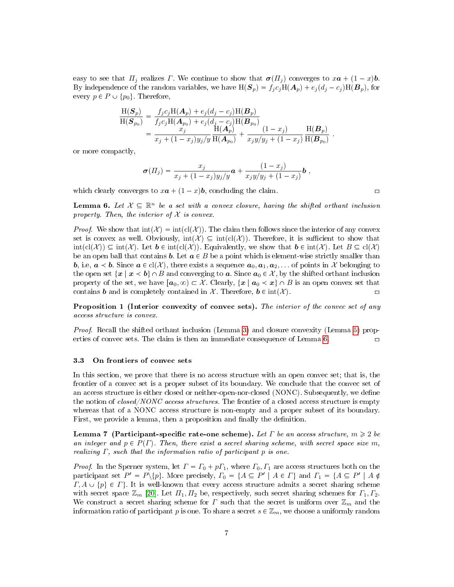easy to see that  $\Pi_j$  realizes Γ. We continue to show that  $\sigma(\Pi_j)$  converges to  $x\mathbf{a} + (1-x)\mathbf{b}$ . By independence of the random variables, we have  $H(\mathbf{S}_p) = f_j c_j H(\mathbf{A}_p) + e_j (d_j - c_j) H(\mathbf{B}_p)$ , for every  $p \in P \cup \{p_0\}$ . Therefore,

$$
\frac{\mathcal{H}(\mathcal{S}_p)}{\mathcal{H}(\mathcal{S}_{p_0})} = \frac{f_j c_j \mathcal{H}(\mathcal{A}_p) + e_j (d_j - c_j) \mathcal{H}(\mathcal{B}_p)}{f_j c_j \mathcal{H}(\mathcal{A}_{p_0}) + e_j (d_j - c_j) \mathcal{H}(\mathcal{B}_{p_0})} \\
= \frac{x_j}{x_j + (1 - x_j) y_j / y} \frac{\mathcal{H}(\mathcal{A}_p)}{\mathcal{H}(\mathcal{A}_{p_0})} + \frac{(1 - x_j)}{x_j y / y_j + (1 - x_j)} \frac{\mathcal{H}(\mathcal{B}_p)}{\mathcal{H}(\mathcal{B}_{p_0})}.
$$

or more compactly,

$$
\boldsymbol{\sigma}(II_j) = \frac{x_j}{x_j + (1-x_j)y_j/y} \boldsymbol{a} + \frac{(1-x_j)}{x_j y/y_j + (1-x_j)} \boldsymbol{b} ,
$$

which clearly converges to  $x\mathbf{a} + (1 - x)\mathbf{b}$ , concluding the claim.

<span id="page-6-0"></span>**Lemma 6.** Let  $X \subseteq \mathbb{R}^n$  be a set with a convex closure, having the shifted orthant inclusion property. Then, the interior of  $X$  is convex.

*Proof.* We show that  $int(\mathcal{X}) = int(cl(\mathcal{X}))$ . The claim then follows since the interior of any convex set is convex as well. Obviously,  $\text{int}(\mathcal{X}) \subseteq \text{int}(\text{cl}(\mathcal{X}))$ . Therefore, it is sufficient to show that  $\text{int}(\text{cl}(\mathcal{X})) \subseteq \text{int}(\mathcal{X})$ . Let  $b \in \text{int}(\text{cl}(\mathcal{X}))$ . Equivalently, we show that  $b \in \text{int}(\mathcal{X})$ . Let  $B \subseteq \text{cl}(\mathcal{X})$ be an open ball that contains **b**. Let  $a \in B$  be a point which is element-wise strictly smaller than **b**, i.e,  $a < b$ . Since  $a \in cl(\mathcal{X})$ , there exists a sequence  $a_0, a_1, a_2, \ldots$  of points in X belonging to the open set  $\{x \mid x \lt b\} \cap B$  and converging to a. Since  $a_0 \in \mathcal{X}$ , by the shifted orthant inclusion property of the set, we have  $[a_0, \infty) \subset \mathcal{X}$ . Clearly,  $\{x \mid a_0 \prec x\} \cap B$  is an open convex set that contains **b** and is completely contained in  $\mathcal{X}$ . Therefore,  $\mathbf{b} \in \text{int}(\mathcal{X})$ .

Proposition 1 (Interior convexity of convec sets). The interior of the convec set of any access structure is convex.

Proof. Recall the shifted orthant inclusion (Lemma [3\)](#page-4-3) and closure convexity (Lemma [5\)](#page-5-0) prop-erties of convec sets. The claim is then an immediate consequence of Lemma [6.](#page-6-0)

### 3.3 On frontiers of convec sets

In this section, we prove that there is no access structure with an open convec set; that is, the frontier of a convec set is a proper subset of its boundary. We conclude that the convec set of an access structure is either closed or neither-open-nor-closed (NONC). Subsequently, we define the notion of closed/NONC access structures. The frontier of a closed access structure is empty whereas that of a NONC access structure is non-empty and a proper subset of its boundary. First, we provide a lemma, then a proposition and finally the definition.

<span id="page-6-1"></span>Lemma 7 (Participant-specific rate-one scheme). Let  $\Gamma$  be an access structure,  $m \geq 2$  be an integer and  $p \in P(\Gamma)$ . Then, there exist a secret sharing scheme, with secret space size m, realizing  $\Gamma$ , such that the information ratio of participant p is one.

*Proof.* In the Sperner system, let  $\Gamma = \Gamma_0 + p\Gamma_1$ , where  $\Gamma_0$ ,  $\Gamma_1$  are access structures both on the participant set  $P' = P \setminus \{p\}$ . More precisely,  $\Gamma_0 = \{A \subseteq P' \mid A \in \Gamma\}$  and  $\Gamma_1 = \{A \subseteq P' \mid A \notin \Gamma\}$  $\Gamma, A \cup \{p\} \in \Gamma\}.$  It is well-known that every access structure admits a secret sharing scheme with secret space  $\mathbb{Z}_m$  [\[20\]](#page-20-1). Let  $\Pi_1, \Pi_2$  be, respectively, such secret sharing schemes for  $\Gamma_1, \Gamma_2$ . We construct a secret sharing scheme for  $\Gamma$  such that the secret is uniform over  $\mathbb{Z}_m$  and the information ratio of participant p is one. To share a secret  $s \in \mathbb{Z}_m$ , we choose a uniformly random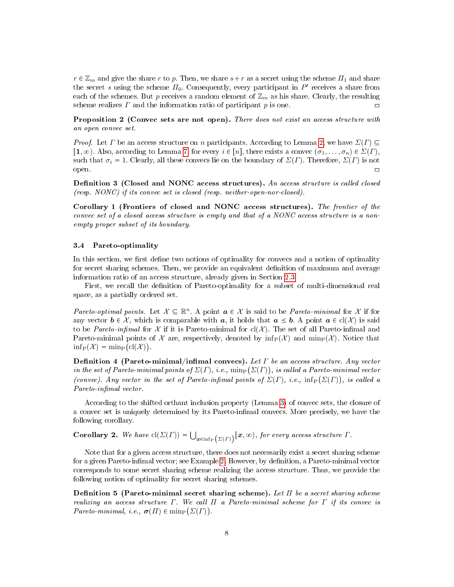$r \in \mathbb{Z}_m$  and give the share r to p. Then, we share  $s+r$  as a secret using the scheme  $\Pi_1$  and share the secret s using the scheme  $\Pi_0$ . Consequently, every participant in  $P'$  receives a share from each of the schemes. But p receives a random element of  $\mathbb{Z}_m$  as his share. Clearly, the resulting scheme realizes  $\Gamma$  and the information ratio of participant  $p$  is one.

Proposition 2 (Convec sets are not open). There does not exist an access structure with an open convec set.

*Proof.* Let  $\Gamma$  be an access structure on n participants. According to Lemma [2,](#page-4-4) we have  $\Sigma(\Gamma) \subseteq$  $\lceil 1, \infty \rceil$ . Also, according to Lemma [7,](#page-6-1) for every  $i \in [n]$ , there exists a convec  $(\sigma_1, \ldots, \sigma_n) \in \Sigma(\Gamma)$ , such that  $\sigma_i = 1$ . Clearly, all these convecs lie on the boundary of  $\Sigma(\Gamma)$ . Therefore,  $\Sigma(\Gamma)$  is not open.  $\Box$ 

<span id="page-7-0"></span>Definition 3 (Closed and NONC access structures). An access structure is called closed (resp. NONC) if its convec set is closed (resp. neither-open-nor-closed).

<span id="page-7-1"></span>Corollary 1 (Frontiers of closed and NONC access structures). The frontier of the convec set of a closed access structure is empty and that of a NONC access structure is a nonempty proper subset of its boundary.

# 3.4 Pareto-optimality

In this section, we first define two notions of optimality for convecs and a notion of optimality for secret sharing schemes. Then, we provide an equivalent definition of maximum and average information ratio of an access structure, already given in Section [2.3.](#page-3-1)

First, we recall the definition of Pareto-optimality for a subset of multi-dimensional real space, as a partially ordered set.

Pareto-optimal points. Let  $X \subseteq \mathbb{R}^n$ . A point  $a \in \mathcal{X}$  is said to be Pareto-minimal for X if for any vector  $\mathbf{b} \in \mathcal{X}$ , which is comparable with  $\mathbf{a}$ , it holds that  $\mathbf{a} \leq \mathbf{b}$ . A point  $\mathbf{a} \in cl(\mathcal{X})$  is said to be Pareto-infimal for  $\mathcal X$  if it is Pareto-minimal for  $cl(\mathcal X)$ . The set of all Pareto-infimal and Pareto-minimal points of X are, respectively, denoted by  $\inf_{P}(\mathcal{X})$  and  $\min_{P}(\mathcal{X})$ . Notice that  $\mathrm{inf}_{P}(\mathcal{X}) = \mathrm{min}_{P}(\mathrm{cl}(\mathcal{X})).$ 

**Definition 4 (Pareto-minimal/infimal convecs).** Let  $\Gamma$  be an access structure. Any vector in the set of Pareto-minimal points of  $\Sigma(\varGamma),$  i.e.,  $\min_{\mathrm{P}}(\Sigma(\varGamma))$ , is called a Pareto-minimal vector (convec). Any vector in the set of Pareto-infimal points of  $\Sigma(\Gamma)$ , i.e.,  $\inf_{P}(\Sigma(\Gamma))$ , is called a Pareto-infimal vector.

According to the shifted orthant inclusion property (Lemma [3\)](#page-4-3) of convec sets, the closure of a convec set is uniquely determined by its Pareto-inmal convecs. More precisely, we have the following corollary.

**Corollary 2.** We have  $cl(\Sigma(\Gamma)) = \bigcup_{\mathbf{x} \in \inf_{\Gamma}(\Sigma(\Gamma))} [\mathbf{x}, \infty)$ , for every access structure  $\Gamma$ .

Note that for a given access structure, there does not necessarily exist a secret sharing scheme for a given Pareto-infimal vector; see Example [2.](#page-8-0) However, by definition, a Pareto-minimal vector corresponds to some secret sharing scheme realizing the access structure. Thus, we provide the following notion of optimality for secret sharing schemes.

**Definition 5** (Pareto-minimal secret sharing scheme). Let  $\Pi$  be a secret sharing scheme realizing an access structure  $\Gamma$ . We call  $\Pi$  a Pareto-minimal scheme for  $\Gamma$  if its convec is Pareto-minimal, i.e.,  $\boldsymbol{\sigma}(H) \in \text{min}_{P} (\Sigma(\Gamma)).$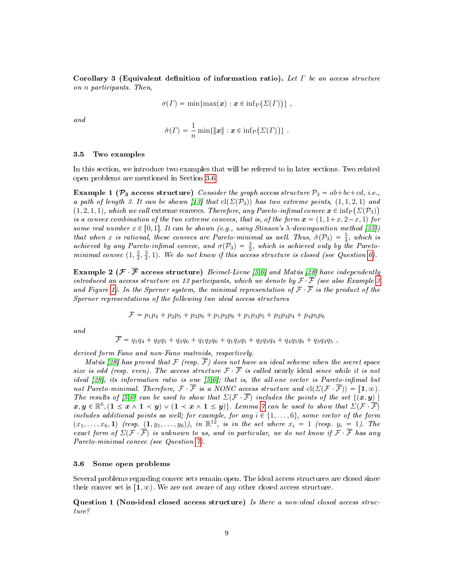Corollary 3 (Equivalent definition of information ratio). Let  $\Gamma$  be an access structure on n participants. Then,

$$
\sigma(\Gamma) = \min\{\max(\boldsymbol{x}) : \boldsymbol{x} \in \inf_{P} (\Sigma(\Gamma))\},\,
$$

and

$$
\tilde{\sigma}(\Gamma) = \frac{1}{n} \min \{ ||\mathbf{x}|| : \mathbf{x} \in \inf_{P} (\Sigma(\Gamma)) \}.
$$

#### 3.5 Two examples

In this section, we introduce two examples that will be referred to in later sections. Two related open problems are mentioned in Section [3.6.](#page-8-1)

<span id="page-8-2"></span>Example 1 ( $\mathcal{P}_3$  access structure) Consider the graph access structure  $\mathcal{P}_3 = ab + bc + cd$ , i.e., a path of length 3. It can be shown [\[13\]](#page-19-10) that  $cl(\Sigma(\mathcal{P}_3))$  has two extreme points,  $(1, 1, 2, 1)$  and  $(1, 2, 1, 1)$ , which we call extreme convecs. Therefore, any Pareto-infimal convec  $x \in \inf_{P} (\Sigma(\mathcal{P}_3))$ is a convex combination of the two extreme convecs, that is, of the form  $x = (1, 1+x, 2-x, 1)$  for some real number  $x \in [0, 1]$ . It can be shown (e.g., using Stinson's  $\lambda$ -decomposition method [\[35\]](#page-20-17)) that when x is rational, these convecs are Pareto-minimal as well. Thus,  $\tilde{\sigma}(\mathcal{P}_3) = \frac{5}{4}$ , which is achieved by any Pareto-infimal convec, and  $\sigma(\mathcal{P}_3) = \frac{3}{2}$ , which is achieved only by the Paretominimal convec  $(1, \frac{3}{2}, \frac{3}{2}, 1)$ . We do not know if this access structure is closed (see Question [6\)](#page-9-1).

<span id="page-8-0"></span>**Example 2 (** $\mathcal{F}$  $\overline{\mathcal{F}}$  **access structure)** Beimel-Livne [\[5,](#page-19-16)[6\]](#page-19-17) and Matús [\[28\]](#page-20-6) have independently introduced an access structure on 12 participants, which we denote by  $\mathcal{F} \cdot \overline{\mathcal{F}}$  (see also Example [3](#page-10-0) and Figure [1\)](#page-10-1). In the Sperner system, the minimal representation of  $\mathcal{F}$   $\bar{\mathcal{F}}$  is the product of the Sperner representations of the following two ideal access structures

$$
\mathcal{F} = p_1 p_4 + p_2 p_5 + p_3 p_6 + p_1 p_2 p_6 + p_1 p_3 p_5 + p_2 p_3 p_4 + p_4 p_5 p_6
$$

and

$$
\mathcal{F} = q_1 q_4 + q_2 q_5 + q_3 q_6 + q_1 q_2 q_6 + q_1 q_3 q_5 + q_2 q_3 q_4 + q_4 q_5 q_6 + q_3 q_4 q_5,
$$

derived form Fano and non-Fano matroids, respectively.

Matús [\[28\]](#page-20-6) has proved that  $\mathcal F$  (resp.  $\overline{\mathcal F}$ ) does not have an ideal scheme when the secret space size is odd (resp. even). The access structure  $\mathcal{F} \times \overline{\mathcal{F}}$  is called nearly ideal since while it is not ideal [\[28\]](#page-20-6), its information ratio is one  $[5,6]$  $[5,6]$ ; that is, the all-one vector is Pareto-infimal but not Pareto-minimal. Therefore,  $\mathcal{F}$   $\overline{\mathcal{F}}$  is a NONC access structure and  $cl(\Sigma(\mathcal{F} \cdot \overline{\mathcal{F}})) = [1, \infty)$ . The results of [\[5](#page-19-16)[,6\]](#page-19-17) can be used to show that  $\Sigma(\mathcal{F}, \overline{\mathcal{F}})$  includes the points of the set  $\{(\bm{x}, y)\}$  $\bm{x},\bm{y}\in\mathbb{R}^6, (\bm{1}\leq \bm{x}\wedge\bm{1}\leq \bm{y})\vee(\bm{1}<\bm{x}\wedge\bm{1}\leq \bm{y})\}$ . Lemma [7](#page-6-1) can be used to show that  $\Sigma(\mathcal{F}^{\top}\overline{\mathcal{F}})$ includes additional points as well; for example, for any  $i \in \{1, \ldots, 6\}$ , some vector of the form  $(x_1, \ldots, x_6, 1)$  (resp.  $(1, y_1, \ldots, y_6)$ ), in  $\mathbb{R}^{12}$ , is in the set where  $x_i = 1$  (resp.  $y_i = 1$ ). The exact form of  $\Sigma(\mathcal{F} \cdot \overline{\mathcal{F}})$  is unknown to us, and in particular, we do not know if  $\mathcal{F} \cdot \overline{\mathcal{F}}$  has any Pareto-minimal convec (see Question [7\)](#page-9-2).

#### <span id="page-8-1"></span>3.6 Some open problems

Several problems regarding convec sets remain open. The ideal access structures are closed since their convec set is  $[1, \infty)$ . We are not aware of any other closed access structure.

<span id="page-8-3"></span>Question 1 (Non-ideal closed access structure) Is there a non-ideal closed access structure?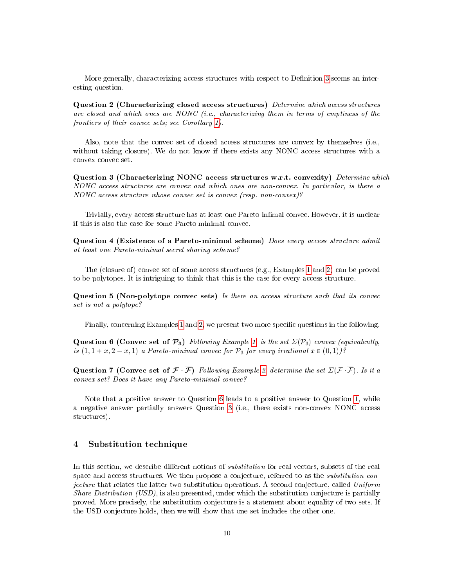More generally, characterizing access structures with respect to Definition [3](#page-7-0) seems an interesting question.

Question 2 (Characterizing closed access structures) Determine which access structures are closed and which ones are NONC (i.e., characterizing them in terms of emptiness of the frontiers of their convec sets; see Corollary [1\)](#page-7-1).

Also, note that the convec set of closed access structures are convex by themselves (i.e., without taking closure). We do not know if there exists any NONC access structures with a convex convec set.

<span id="page-9-3"></span>Question 3 (Characterizing NONC access structures w.r.t. convexity) Determine which NONC access structures are convex and which ones are non-convex. In particular, is there a NONC access structure whose convec set is convex (resp. non-convex)?

Trivially, every access structure has at least one Pareto-inmal convec. However, it is unclear if this is also the case for some Pareto-minimal convec.

Question 4 (Existence of a Pareto-minimal scheme) Does every access structure admit at least one Pareto-minimal secret sharing scheme?

The (closure of) convec set of some access structures (e.g., Examples [1](#page-8-2) and [2\)](#page-8-0) can be proved to be polytopes. It is intriguing to think that this is the case for every access structure.

Question 5 (Non-polytope convec sets) Is there an access structure such that its convec set is not a polytope?

Finally, concerning Examples [1](#page-8-2) and [2,](#page-8-0) we present two more specific questions in the following.

<span id="page-9-1"></span>Question 6 (Convec set of  $\mathcal{P}_3$ ) Following Example [1,](#page-8-2) is the set  $\Sigma(\mathcal{P}_3)$  convex (equivalently, is  $(1, 1 + x, 2 - x, 1)$  a Pareto-minimal convec for  $\mathcal{P}_3$  for every irrational  $x \in (0, 1)$ ?

<span id="page-9-2"></span>Question 7 (Convec set of  $\mathcal{F}(\overline{\mathcal{F}})$  Following Example [2,](#page-8-0) determine the set  $\Sigma(\mathcal{F}(\overline{\mathcal{F}}))$ . Is it a convex set? Does it have any Pareto-minimal convec?

Note that a positive answer to Question [6](#page-9-1) leads to a positive answer to Question [1,](#page-8-3) while a negative answer partially answers Question [3](#page-9-3) (i.e., there exists non-convex NONC access structures).

# <span id="page-9-0"></span>4 Substitution technique

In this section, we describe different notions of *substitution* for real vectors, subsets of the real space and access structures. We then propose a conjecture, referred to as the substitution conjecture that relates the latter two substitution operations. A second conjecture, called Uniform Share Distribution (USD), is also presented, under which the substitution conjecture is partially proved. More precisely, the substitution conjecture is a statement about equality of two sets. If the USD conjecture holds, then we will show that one set includes the other one.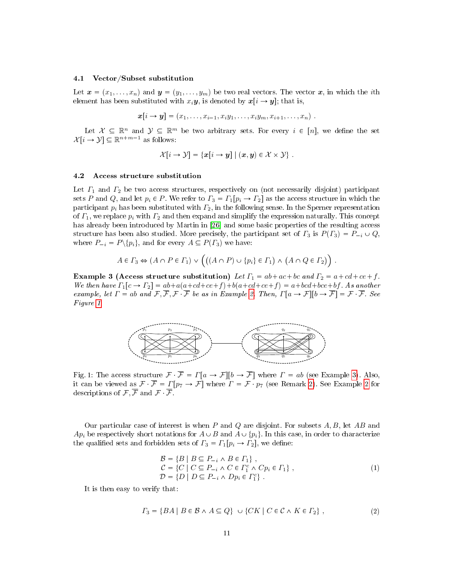#### 4.1 Vector/Subset substitution

Let  $\mathbf{x} = (x_1, \ldots, x_n)$  and  $\mathbf{y} = (y_1, \ldots, y_m)$  be two real vectors. The vector  $\mathbf{x}$ , in which the ith element has been substituted with  $x_i y$ , is denoted by  $x[i \rightarrow y]$ ; that is,

$$
\boldsymbol{x}[i \rightarrow \boldsymbol{y}] = (x_1, \ldots, x_{i-1}, x_i y_1, \ldots, x_i y_m, x_{i+1}, \ldots, x_n).
$$

Let  $\mathcal{X} \subseteq \mathbb{R}^n$  and  $\mathcal{Y} \subseteq \mathbb{R}^m$  be two arbitrary sets. For every  $i \in [n]$ , we define the set  $\mathcal{X}[i \to \mathcal{Y}] \subseteq \mathbb{R}^{n+m-1}$  as follows:

$$
\mathcal{X}[i \to \mathcal{Y}] = \{x[i \to y] \mid (x, y) \in \mathcal{X} \times \mathcal{Y}\}.
$$

#### 4.2 Access structure substitution

Let  $\Gamma_1$  and  $\Gamma_2$  be two access structures, respectively on (not necessarily disjoint) participant sets P and Q, and let  $p_i \in P$ . We refer to  $\Gamma_3 = \Gamma_1[p_i \to \Gamma_2]$  as the access structure in which the participant  $p_i$  has been substituted with  $\Gamma_2$ , in the following sense. In the Sperner representation of  $\Gamma_1$ , we replace  $p_i$  with  $\Gamma_2$  and then expand and simplify the expression naturally. This concept has already been introduced by Martin in [\[26\]](#page-20-2) and some basic properties of the resulting access structure has been also studied. More precisely, the participant set of  $\Gamma_3$  is  $P(\Gamma_3) = P_{-i} \cup Q$ , where  $P_{-i} = P \setminus \{p_i\}$ , and for every  $A \subseteq P(\Gamma_3)$  we have:

$$
A \in \Gamma_3 \Leftrightarrow (A \cap P \in \Gamma_1) \vee \left( ((A \cap P) \cup \{p_i\} \in \Gamma_1) \wedge (A \cap Q \in \Gamma_2) \right).
$$

<span id="page-10-0"></span>Example 3 (Access structure substitution) Let  $\Gamma_1 = ab + ac + bc$  and  $\Gamma_2 = a + cd + ce + f$ . We then have  $\Gamma_1[c \to \Gamma_2] = ab + a(a + cd + ce + f) + b(a + cd + ce + f) = a + bcd + bc + bf$ . As another example, let  $\Gamma = ab$  and  $\mathcal{F}, \overline{\mathcal{F}}, \mathcal{F}, \overline{\mathcal{F}}$  be as in Example [2.](#page-8-0) Then,  $\Gamma[a \to \mathcal{F}][b \to \overline{\mathcal{F}}] = \mathcal{F} \cdot \overline{\mathcal{F}}$ . See Figure [1.](#page-10-1)

<span id="page-10-1"></span>

Fig. 1: The access structure  $\mathcal{F} \cdot \overline{\mathcal{F}} = \Gamma[a \to \mathcal{F}][b \to \overline{\mathcal{F}}]$  where  $\Gamma = ab$  (see Example [3\)](#page-10-0). Also, it can be viewed as  $\mathcal{F} \cdot \overline{\mathcal{F}} = \Gamma[p_7 \to \mathcal{F}]$  where  $\Gamma = \mathcal{F} \cdot p_7$  (see Remark [2\)](#page-11-0). See Example [2](#page-8-0) for descriptions of  $\mathcal{F}, \overline{\mathcal{F}}$  and  $\mathcal{F}, \overline{\mathcal{F}}$ .

Our particular case of interest is when  $P$  and  $Q$  are disjoint. For subsets  $A, B$ , let  $AB$  and  $Ap_i$  be respectively short notations for  $A\cup B$  and  $A\cup \{p_i\}$ . In this case, in order to characterize the qualified sets and forbidden sets of  $\Gamma_3 = \Gamma_1[p_i \to \Gamma_2]$ , we define:

$$
\mathcal{B} = \{B \mid B \subseteq P_{-i} \land B \in \Gamma_1\},\n\mathcal{C} = \{C \mid C \subseteq P_{-i} \land C \in \Gamma_1^c \land Cp_i \in \Gamma_1\},\n\mathcal{D} = \{D \mid D \subseteq P_{-i} \land Dp_i \in \Gamma_1^c\}.
$$
\n(1)

It is then easy to verify that:

$$
\Gamma_3 = \{ BA \mid B \in \mathcal{B} \land A \subseteq Q \} \cup \{ CK \mid C \in \mathcal{C} \land K \in \Gamma_2 \},
$$
\n
$$
(2)
$$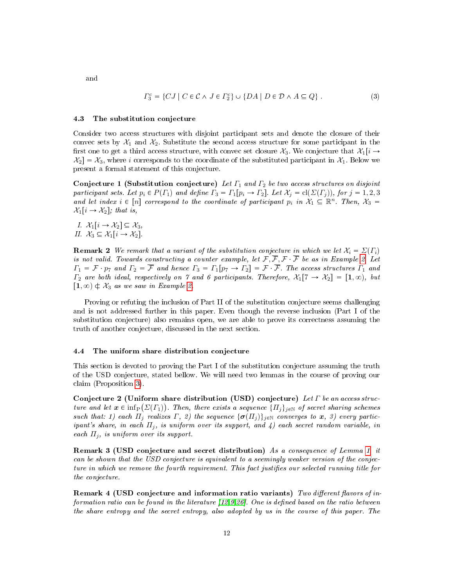and

$$
\Gamma_3^c = \{ CJ \mid C \in \mathcal{C} \land J \in \Gamma_2^c \} \cup \{ DA \mid D \in \mathcal{D} \land A \subseteq Q \} . \tag{3}
$$

#### 4.3 The substitution conjecture

Consider two access structures with disjoint participant sets and denote the closure of their convec sets by  $\mathcal{X}_1$  and  $\mathcal{X}_2$ . Substitute the second access structure for some participant in the first one to get a third access structure, with convec set closure  $\mathcal{X}_3$ . We conjecture that  $\mathcal{X}_1[i \rightarrow \infty]$  $\mathcal{X}_2 = \mathcal{X}_3$ , where i corresponds to the coordinate of the substituted participant in  $\mathcal{X}_1$ . Below we present a formal statement of this conjecture.

<span id="page-11-2"></span>Conjecture 1 (Substitution conjecture) Let  $\Gamma_1$  and  $\Gamma_2$  be two access structures on disjoint participant sets. Let  $p_i \in P(\Gamma_1)$  and define  $\Gamma_3 = \Gamma_1[p_i \to \Gamma_2]$ . Let  $\mathcal{X}_j = \text{cl}(\Sigma(\Gamma_j))$ , for  $j = 1, 2, 3$ and let index  $i \in [n]$  correspond to the coordinate of participant  $p_i$  in  $\mathcal{X}_1 \subseteq \mathbb{R}^n$ . Then,  $\mathcal{X}_3 =$  $\mathcal{X}_1[i \rightarrow \mathcal{X}_2]$ ; that is,

I.  $\mathcal{X}_1[i \rightarrow \mathcal{X}_2] \subseteq \mathcal{X}_3$ , II.  $\mathcal{X}_3 \subseteq \mathcal{X}_1[i \rightarrow \mathcal{X}_2]$ .

<span id="page-11-0"></span>**Remark 2** We remark that a variant of the substitution conjecture in which we let  $X_i = \Sigma(\Gamma_i)$ is not valid. Towards constructing a counter example, let  $\mathcal{F}, \overline{\mathcal{F}}, \mathcal{F} \cdot \overline{\mathcal{F}}$  be as in Example [2.](#page-8-0) Let  $\Gamma_1 = \mathcal{F}$   $p_7$  and  $\Gamma_2 = \overline{\mathcal{F}}$  and hence  $\Gamma_3 = \Gamma_1[p_7 \to \Gamma_2] = \mathcal{F}$   $\overline{\mathcal{F}}$ . The access structures  $\Gamma_1$  and  $\Gamma_2$  are both ideal, respectively on 7 and 6 participants. Therefore,  $\mathcal{X}_1[7 \to \mathcal{X}_2] = [1, \infty)$ , but  $\left[1, \infty\right) \notin \mathcal{X}_3$  as we saw in Example [2.](#page-8-0)

Proving or refuting the inclusion of Part II of the substitution conjecture seems challenging and is not addressed further in this paper. Even though the reverse inclusion (Part I of the substitution conjecture) also remains open, we are able to prove its correctness assuming the truth of another conjecture, discussed in the next section.

#### 4.4 The uniform share distribution conjecture

This section is devoted to proving the Part I of the substitution conjecture assuming the truth of the USD conjecture, stated bellow. We will need two lemmas in the course of proving our claim (Proposition [3\)](#page-13-1).

<span id="page-11-1"></span>Conjecture 2 (Uniform share distribution (USD) conjecture) Let  $\Gamma$  be an access structure and let  $\bm{x}\in\inf_\text{P}(\Sigma(\varGamma_1))$ . Then, there exists a sequence  $\{\varPi_j\}_{j\in\mathbb{N}}$  of secret sharing schemes such that: 1) each  $\Pi_j$  realizes  $\Gamma$ , 2) the sequence  $\{\sigma(\Pi_j)\}_{j\in\mathbb{N}}$  converges to  $x$ , 3) every participant's share, in each  $\Pi_j$ , is uniform over its support, and 4) each secret random variable, in each  $\Pi_i$ , is uniform over its support.

Remark 3 (USD conjecture and secret distribution) As a consequence of Lemma [1,](#page-4-1) it can be shown that the USD conjecture is equivalent to a seemingly weaker version of the conjecture in which we remove the fourth requirement. This fact justifies our selected running title for the conjecture.

Remark 4 (USD conjecture and information ratio variants) Two different flavors of information ratio can be found in the literature  $[12,9,26]$  $[12,9,26]$  $[12,9,26]$ . One is defined based on the ratio between the share entropy and the secret entropy, also adopted by us in the course of this paper. The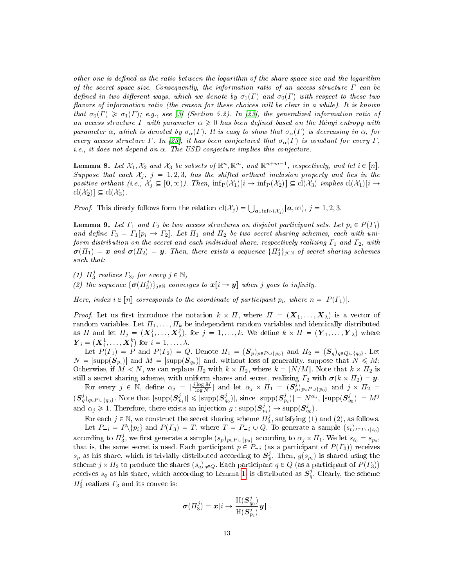other one is defined as the ratio between the logarithm of the share space size and the logarithm of the secret space size. Consequently, the information ratio of an access structure  $\Gamma$  can be defined in two different ways, which we denote by  $\sigma_1(\Gamma)$  and  $\sigma_0(\Gamma)$  with respect to these two flavors of information ratio (the reason for these choices will be clear in a while). It is known that  $\sigma_0(\Gamma) \geq \sigma_1(\Gamma)$ ; e.g., see [\[3\]](#page-19-6) (Section 5.2). In [\[23\]](#page-20-18), the generalized information ratio of an access structure  $\Gamma$  with parameter  $\alpha \geq 0$  has been defined based on the Rényi entropy with parameter  $\alpha$ , which is denoted by  $\sigma_{\alpha}(\Gamma)$ . It is easy to show that  $\sigma_{\alpha}(\Gamma)$  is decreasing in  $\alpha$ , for every access structure Γ. In [\[23\]](#page-20-18), it has been conjectured that  $\sigma_{\alpha}(\Gamma)$  is constant for every Γ, i.e., it does not depend on  $\alpha$ . The USD conjecture implies this conjecture.

<span id="page-12-0"></span>**Lemma 8.** Let  $\mathcal{X}_1, \mathcal{X}_2$  and  $\mathcal{X}_3$  be subsets of  $\mathbb{R}^n, \mathbb{R}^m$ , and  $\mathbb{R}^{n+m-1}$ , respectively, and let  $i \in [n]$ . Suppose that each  $\mathcal{X}_i$ ,  $j = 1, 2, 3$ , has the shifted orthant inclusion property and lies in the positive orthant (i.e.,  $\mathcal{X}_i \subseteq [0, \infty)$ ). Then,  $\inf_P(\mathcal{X}_1)[i \to \inf_P(\mathcal{X}_2)] \subseteq cl(\mathcal{X}_3)$  implies  $cl(\mathcal{X}_1)[i \to \infty]$  $\text{cl}(\mathcal{X}_2) \subseteq \text{cl}(\mathcal{X}_3)$ 

*Proof.* This directly follows form the relation  $cl(\mathcal{X}_j) = \bigcup_{\mathbf{a} \in \inf_P(\mathcal{X}_j)} [\mathbf{a}, \infty), j = 1, 2, 3$ .

<span id="page-12-1"></span>**Lemma 9.** Let  $\Gamma_1$  and  $\Gamma_2$  be two access structures on disjoint participant sets. Let  $p_i \in P(\Gamma_1)$ and define  $\Gamma_3 = \Gamma_1[p_i \to \Gamma_2]$ . Let  $\Pi_1$  and  $\Pi_2$  be two secret sharing schemes, each with uniform distribution on the secret and each individual share, respectively realizing  $\Gamma_1$  and  $\Gamma_2$ , with  $\bm{\sigma}(H_1) = \bm{x}$  and  $\bm{\sigma}(H_2) = \bm{y}$ . Then, there exists a sequence  $\{H_3^j\}_{j\in\mathbb{N}}$  of secret sharing schemes such that:

(1)  $\Pi_3^j$  realizes  $\Gamma_3$ , for every  $j \in \mathbb{N}$ ,

(2) the sequence  $\{\boldsymbol{\sigma}(H_3^j)\}_{j\in\mathbb{N}}$  converges to  $\boldsymbol{x}[i \to \boldsymbol{y}]$  when j goes to infinity.

Here, index  $i \in [n]$  corresponds to the coordinate of participant  $p_i$ , where  $n = |P(F_1)|$ .

*Proof.* Let us first introduce the notation  $k \times \Pi$ , where  $\Pi = (\mathbf{X}_1, \dots, \mathbf{X}_{\lambda})$  is a vector of random variables. Let  $\Pi_1, \ldots, \Pi_k$  be independent random variables and identically distributed as  $\Pi$  and let  $\Pi_j = (\boldsymbol{X}^j_1, \ldots, \boldsymbol{X}^j_\lambda)$ , for  $j = 1, \ldots, k$ . We define  $k \times \Pi = (\boldsymbol{Y}_1, \ldots, \boldsymbol{Y}_\lambda)$  where  $\boldsymbol{Y}_i = (\boldsymbol{X}_i^1, \dots, \boldsymbol{X}_i^k)$  for  $i = 1, \dots, \lambda$ .

Let  $P(\Gamma_1) = P$  and  $P(\Gamma_2) = Q$ . Denote  $\Pi_1 = (\mathcal{S}_p)_{p \in P \cup \{p_0\}}$  and  $\Pi_2 = (\mathcal{S}_q)_{q \in Q \cup \{q_0\}}$ . Let  $N = |\text{supp}(\boldsymbol{S}_{p_i})|$  and  $M = |\text{supp}(\boldsymbol{S}_{q_0})|$  and, without loss of generality, suppose that  $N \leqslant M;$ Otherwise, if  $M < N$ , we can replace  $\Pi_2$  with  $k \times \Pi_2$ , where  $k = \lfloor N/M \rfloor$ . Note that  $k \times \Pi_2$  is still a secret sharing scheme, with uniform shares and secret, realizing  $\Gamma_2$  with  $\sigma(k \times \Pi_2) = y$ .

For every  $j \in \mathbb{N}$ , define  $\alpha_j = \lfloor \frac{j \log M}{\log N} \rfloor$  and let  $\alpha_j \times \Pi_1 = (\mathbf{S}_p^j)_{p \in P \cup \{p_0\}}$  and  $j \times \Pi_2 =$  $\mathcal{S}_{q}^{j}(\mathcal{S}_{q}^{j})_{q\in P\cup\{q_{0}\}}$ . Note that  $|\text{supp}(\mathcal{S}_{p_{i}}^{j})|\leqslant |\text{supp}(\mathcal{S}_{q_{0}}^{j})|$ , since  $|\text{supp}(\mathcal{S}_{p_{i}}^{j})| = N^{\alpha_{j}}$ ,  $|\text{supp}(\mathcal{S}_{q_{0}}^{j})| = M^{j}$ and  $\alpha_j \geq 1$ . Therefore, there exists an injection  $g: \text{supp}(\mathbf{S}_{p_i}^j) \to \text{supp}(\mathbf{S}_{q_0}^j)$ .

For each  $j \in \mathbb{N}$ , we construct the secret sharing scheme  $\Pi_3^j$ , satisfying (1) and (2), as follows. Let  $P_{-i} = P\backslash \{p_i\}$  and  $P(\Gamma_3) = T$ , where  $T = P_{-i} \cup Q$ . To generate a sample  $(s_t)_{t \in T \cup \{t_0\}}$ according to  $\bar{H}_3^j$ , we first generate a sample  $(s_p)_{p \in P \cup \{p_0\}}$  according to  $\alpha_j \times \bar{H}_1$ . We let  $s_{t_0} = s_{p_0}$ , that is, the same secret is used. Each participant  $p \in P_{i}$  (as a participant of  $P(\Gamma_3)$ ) receives  $s_p$  as his share, which is trivially distributed according to  $S_p^j$ . Then,  $g(s_{p_i})$  is shared using the scheme  $j \times \Pi_2$  to produce the shares  $(s_q)_{q \in Q}$ . Each participant  $q \in Q$  (as a participant of  $P(\Gamma_3)$ ) receives  $s_q$  as his share, which according to Lemma [1,](#page-4-1) is distributed as  $S_q^j$ . Clearly, the scheme  $\Pi_3^j$  realizes  $\Gamma_3$  and its convec is:

$$
\pmb{\sigma}(H_3^j) = \pmb{x}\big[i \rightarrow \frac{\mathbf{H}(\pmb{S}_{q_0}^j)}{\mathbf{H}(\pmb{S}_{p_i}^j)}\pmb{y}\big]~.
$$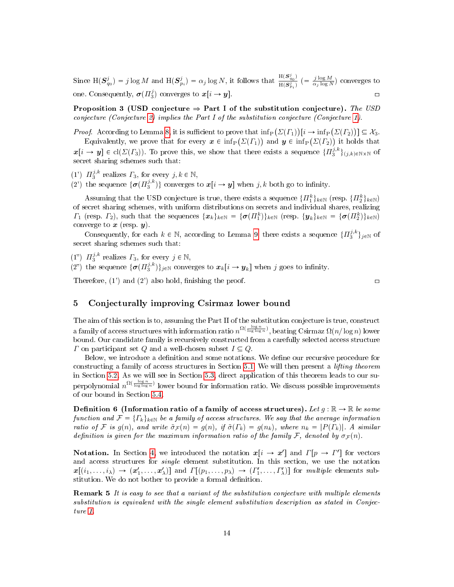Since  $H(S_{q_0}^j) = j \log M$  and  $H(S_{p_i}^j) = \alpha_j \log N$ , it follows that  $\frac{H(S_{q_0}^j)}{H(S_{\infty}^j)}$  $\frac{H(\mathbf{S}_{q_0}^j)}{H(\mathbf{S}_{p_i}^j)}$  (=  $\frac{j \log M}{\alpha_j \log N}$ ) converges to one. Consequently,  $\boldsymbol{\sigma}(H_3^j)$  converges to  $\boldsymbol{x}[i \to \boldsymbol{y}]$ .

<span id="page-13-1"></span>Proposition 3 (USD conjecture  $\Rightarrow$  Part I of the substitution conjecture). The USD conjecture (Conjecture [2\)](#page-11-1) implies the Part I of the substitution conjecture (Conjecture [1\)](#page-11-2).

*Proof.* According to Lemma [8,](#page-12-0) it is sufficient to prove that  $\inf_{P} (\Sigma(T_1)) [i \to \inf_{P} (\Sigma(T_2))] \subseteq \mathcal{X}_3$ .

Equivalently, we prove that for every  $\bm{x} \in \inf_P ( \varSigma ( \varGamma_1 ) )$  and  $\bm{y} \in \inf_P ( \varSigma ( \varGamma_2 ) )$  it holds that  $\boldsymbol{x}[i \to \boldsymbol{y}] \in \text{cl}(\Sigma(\Gamma_3))$ . To prove this, we show that there exists a sequence  $\{H_3^{j,k}\}_{(j,k)\in\mathbb{N}\times\mathbb{N}}$  of secret sharing schemes such that:

(1')  $\Pi_3^{j,k}$  realizes  $\Gamma_3$ , for every  $j, k \in \mathbb{N}$ ,

(2') the sequence  $\{\boldsymbol{\sigma}(H_3^{j,k})\}$  converges to  $\boldsymbol{x}[i \to \boldsymbol{y}]$  when  $j, k$  both go to infinity.

Assuming that the USD conjecture is true, there exists a sequence  $\{\Pi_1^k\}_{k\in\mathbb{N}}$  (resp.  $\{\Pi_2^k\}_{k\in\mathbb{N}}$ ) of secret sharing schemes, with uniform distributions on secrets and individual shares, realizing  $\Gamma_1$  (resp.  $\Gamma_2$ ), such that the sequences  $\{\boldsymbol{x}_k\}_{k\in\mathbb{N}} = {\{\boldsymbol{\sigma}(H_1^k)\}_{k\in\mathbb{N}}}$  (resp.  $\{\boldsymbol{y}_k\}_{k\in\mathbb{N}} = {\{\boldsymbol{\sigma}(H_2^k)\}_{k\in\mathbb{N}}}$ ) converge to  $\boldsymbol{x}$  (resp.  $\boldsymbol{y}$ ).

Consequently, for each  $k \in \mathbb{N}$ , according to Lemma [9,](#page-12-1) there exists a sequence  $\{H_3^{j,k}\}_{j\in\mathbb{N}}$  of secret sharing schemes such that:

(1")  $\Pi_3^{j,k}$  realizes  $\Gamma_3$ , for every  $j \in \mathbb{N}$ ,

(2") the sequence  $\{\sigma(H_3^{j,k})\}_{j\in\mathbb{N}}$  converges to  $x_k[i \to y_k]$  when j goes to infinity.

Therefore, (1') and (2') also hold, finishing the proof.  $\Box$ 

# <span id="page-13-0"></span>5 Conjecturally improving Csirmaz lower bound

The aim of this section is to, assuming the Part II of the substitution conjecture is true, construct a family of access structures with information ratio  $n^{\Omega(\frac{\log n}{\log\log n})}$ , beating Csirmaz  $\Omega(n/\log n)$  lower bound. Our candidate family is recursively constructed from a carefully selected access structure  $\Gamma$  on participant set  $Q$  and a well-chosen subset  $I \subseteq Q$ .

Below, we introduce a definition and some notations. We define our recursive procedure for constructing a family of access structures in Section [5.1.](#page-14-0) We will then present a lifting theorem in Section [5.2.](#page-14-1) As we will see in Section [5.3,](#page-17-0) direct application of this theorem leads to our superpolynomial  $n^{\Omega(\frac{\log n}{\log \log n})}$  lower bound for information ratio. We discuss possible improvements of our bound in Section [5.4.](#page-17-1)

**Definition 6** (Information ratio of a family of access structures). Let  $g : \mathbb{R} \to \mathbb{R}$  be some function and  $\mathcal{F} = \{ \Gamma_k \}_{k \in \mathbb{N}}$  be a family of access structures. We say that the average information ratio of F is  $g(n)$ , and write  $\tilde{\sigma}_{\mathcal{F}}(n) = g(n)$ , if  $\tilde{\sigma}(\Gamma_k) = g(n_k)$ , where  $n_k = |P(\Gamma_k)|$ . A similar definition is given for the maximum information ratio of the family F, denoted by  $\sigma_{\mathcal{F}}(n)$ .

**Notation.** In Section [4,](#page-9-0) we introduced the notation  $x[i \rightarrow x']$  and  $\Gamma[p \rightarrow \Gamma']$  for vectors and access structures for single element substitution. In this section, we use the notation  $x[(i_1,\ldots,i_\lambda) \to (\pmb{x}'_1,\ldots,\pmb{x}'_\lambda)]$  and  $\Gamma[(p_1,\ldots,p_\lambda) \to (\Gamma'_1,\ldots,\Gamma'_\lambda)]$  for multiple elements substitution. We do not bother to provide a formal definition.

<span id="page-13-2"></span>Remark 5 It is easy to see that a variant of the substitution conjecture with multiple elements substitution is equivalent with the single element substitution description as stated in Conjecture [1.](#page-11-2)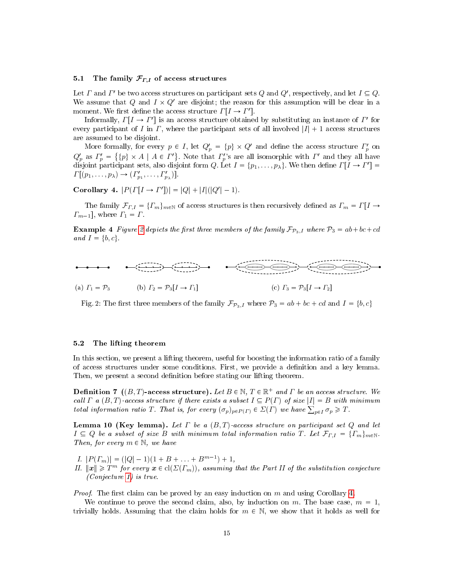# <span id="page-14-0"></span>5.1 The family  $\mathcal{F}_{\Gamma,I}$  of access structures

Let  $\Gamma$  and  $\Gamma'$  be two access structures on participant sets  $Q$  and  $Q'$ , respectively, and let  $I \subseteq Q$ . We assume that Q and  $I \times Q'$  are disjoint; the reason for this assumption will be clear in a moment. We first define the access structure  $\Gamma[I \to I']$ .

Informally,  $\Gamma[I \to I']$  is an access structure obtained by substituting an instance of  $I'$  for every participant of I in  $\Gamma$ , where the participant sets of all involved  $|I| + 1$  access structures are assumed to be disjoint.

More formally, for every  $p \in I$ , let  $Q_p' = \{p\} \times Q'$  and define the access structure  $\varGamma_p'$  on  $Q'_p$  as  $\Gamma'_p = \{ \{p\} \times A \mid A \in \Gamma' \}$ . Note that  $\Gamma'_p$ 's are all isomorphic with  $\Gamma'$  and they all have disjoint participant sets, also disjoint form Q. Let  $I = \{p_1, \ldots, p_\lambda\}$ . We then define  $\Gamma[I \to I'] =$  $\Gamma[(p_1,\ldots,p_\lambda)\to(\Gamma'_{p_1},\ldots,\Gamma'_{p_\lambda})].$ 

<span id="page-14-3"></span>Corollary 4.  $|P(\Gamma[I \to \Gamma'])| = |Q| + |I|(|Q'|-1)$ .

The family  $\mathcal{F}_{F,I} = \{F_m\}_{m\in\mathbb{N}}$  of access structures is then recursively defined as  $\Gamma_m = \Gamma[I \rightarrow$  $\Gamma_{m-1}$ , where  $\Gamma_1 = \Gamma$ .

**Example 4** Figure [2](#page-14-2) depicts the first three members of the family  $\mathcal{F}_{\mathcal{P}_3,I}$  where  $\mathcal{P}_3 = ab + bc + cd$ and  $I = \{b, c\}$ .

<span id="page-14-2"></span>

Fig. 2: The first three members of the family  $\mathcal{F}_{\mathcal{P}_3,I}$  where  $\mathcal{P}_3 = ab + bc + cd$  and  $I = \{b, c\}$ 

# <span id="page-14-1"></span>5.2 The lifting theorem

In this section, we present a lifting theorem, useful for boosting the information ratio of a family of access structures under some conditions. First, we provide a denition and a key lemma. Then, we present a second definition before stating our lifting theorem.

**Definition 7** ((B, T)-access structure). Let  $B \in \mathbb{N}$ ,  $T \in \mathbb{R}^+$  and  $\Gamma$  be an access structure. We call  $\Gamma$  a  $(B, T)$ -access structure if there exists a subset  $I \subseteq P(\Gamma)$  of size  $|I| = B$  with minimum total information ratio T. That is, for every  $(\sigma_p)_{p \in P(\Gamma)} \in \Sigma(\Gamma)$  we have  $\sum_{p \in I} \sigma_p \geq T$ .

<span id="page-14-4"></span>**Lemma 10 (Key lemma).** Let  $\Gamma$  be a  $(B, T)$ -access structure on participant set  $Q$  and let  $I \subseteq Q$  be a subset of size B with minimum total information ratio T. Let  $\mathcal{F}_{\Gamma,I} = \{T_m\}_{m \in \mathbb{N}}$ . Then, for every  $m \in \mathbb{N}$ , we have

- I.  $|P(\Gamma_m)| = (|Q| 1)(1 + B + \ldots + B^{m-1}) + 1$ ,
- II.  $||x|| \geq T^m$  for every  $x \in cl(\Sigma(T_m))$ , assuming that the Part II of the substitution conjecture (Conjecture [1\)](#page-11-2) is true.

*Proof.* The first claim can be proved by an easy induction on  $m$  and using Corollary [4.](#page-14-3)

We continue to prove the second claim, also, by induction on m. The base case,  $m = 1$ , trivially holds. Assuming that the claim holds for  $m \in \mathbb{N}$ , we show that it holds as well for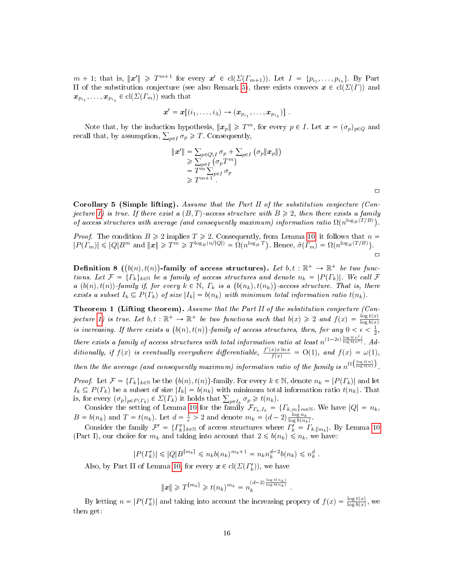$m+1$ ; that is,  $\|\boldsymbol{x}'\| \geq T^{m+1}$  for every  $\boldsymbol{x}' \in \text{cl}(\Sigma(\Gamma_{m+1}))$ . Let  $I = \{p_{i_1}, \ldots, p_{i_{\lambda}}\}$ . By Part II of the substitution conjecture (see also Remark [5\)](#page-13-2), there exists convecs  $x \in cl(\Sigma(\Gamma))$  and  $\boldsymbol{x}_{p_{i_1}},\ldots,\boldsymbol{x}_{p_{i_\lambda}}\in \text{cl}(\varSigma(\varGamma_m))$  such that

$$
\boldsymbol{x}'=\boldsymbol{x}\big[(i_1,\ldots,i_\lambda)\to(\boldsymbol{x}_{p_{i_1}},\ldots,\boldsymbol{x}_{p_{i_\lambda}})\big]\ .
$$

Note that, by the induction hypothesis,  $||x_p|| \geqslant T^m$ , for every  $p \in I$ . Let  $x = (\sigma_p)_{p \in Q}$  and recall that, by assumption,  $\sum_{p\in I}\sigma_p\geq T$ . Consequently,

$$
\begin{aligned} \|\boldsymbol{x}'\| &= \sum_{p \in Q \setminus I} \sigma_p + \sum_{p \in I} \left( \sigma_p \|\boldsymbol{x}_p\| \right) \\ &\geq \sum_{p \in I} \left( \sigma_p T^m \right) \\ &= T^m \sum_{p \in I} \sigma_p \\ &\geq T^{m+1} . \end{aligned}
$$

Corollary 5 (Simple lifting). Assume that the Part II of the substitution conjecture (Con-jecture [1\)](#page-11-2) is true. If there exist a  $(B, T)$ -access structure with  $B \geq 2$ , then there exists a family of access structures with average (and consequently maximum) information ratio  $\Omega(n^{\log_B(T/B)})$ .

*Proof.* The condition  $B \ge 2$  implies  $T \ge 2$ . Consequently, from Lemma [10,](#page-14-4) it follows that  $n =$  $|P(\Gamma_m)| \leqslant |Q|B^m$  and  $||\boldsymbol{x}|| \geqslant T^m \geqslant T^{\log_B(n/|Q|)} = \Omega(n^{\log_B T})$ . Hence,  $\tilde{\sigma}(\Gamma_m) = \Omega(n^{\log_B(T/B)})$ .  $\Box$ 

Definition 8  $((b(n), t(n))$ -family of access structures). Let  $b, t : \mathbb{R}^+ \to \mathbb{R}^+$  be two functions. Let  $\mathcal{F} = \{\Gamma_k\}_{k\in\mathbb{N}}$  be a family of access structures and denote  $n_k = |P(\Gamma_k)|$ . We call  $\mathcal F$ a  $(b(n), t(n))$ -family if, for every  $k \in \mathbb{N}$ ,  $\Gamma_k$  is a  $(b(n_k), t(n_k))$ -access structure. That is, there exists a subset  $I_k \subseteq P(\Gamma_k)$  of size  $|I_k| = b(n_k)$  with minimum total information ratio  $t(n_k)$ .

<span id="page-15-0"></span>Theorem 1 (Lifting theorem). Assume that the Part II of the substitution conjecture (Con-jecture [1\)](#page-11-2) is true. Let  $b, t : \mathbb{R}^+ \to \mathbb{R}^+$  be two functions such that  $b(x) \geq 2$  and  $f(x) = \frac{\log t(x)}{\log b(x)}$ is increasing. If there exists a  $(b(n), t(n))$ -family of access structures, then, for any  $0 < \epsilon < \frac{1}{2}$ , there exists a family of access structures with total information ratio at least  $n^{(1-2\epsilon)\frac{\log t(n^{\epsilon})}{\log b(n^{\epsilon})}}$ . Additionally, if  $f(x)$  is eventually everywhere differentiable,  $\frac{f'(x)x\ln x}{f(x)} = O(1)$ , and  $f(x) = \omega(1)$ ,

then the the average (and consequently maximum) information ratio of the family is  $n^{\Omega\left(\frac{\log t(n)}{\log b(n)}\right)}$ .

*Proof.* Let  $\mathcal{F} = \{ \Gamma_k \}_{k \in \mathbb{N}}$  be the  $(b(n), t(n))$ -family. For every  $k \in \mathbb{N}$ , denote  $n_k = |P(\Gamma_k)|$  and let  $I_k \subseteq P(\Gamma_k)$  be a subset of size  $|I_k| = b(n_k)$  with minimum total information ratio  $t(n_k)$ . That is, for every  $(\sigma_p)_{p \in P(\Gamma_k)} \in \Sigma(\Gamma_k)$  it holds that  $\sum_{p \in I_k} \sigma_p \geq t(n_k)$ .

Consider the setting of Lemma [10](#page-14-4) for the family  $\mathcal{F}_{r_k,I_k} = \{T_{k,m}\}_{m\in\mathbb{N}}$ . We have  $|Q| = n_k$ ,  $B = b(n_k)$  and  $T = t(n_k)$ . Let  $d = \frac{1}{\epsilon} > 2$  and denote  $m_k = (d-2) \frac{\log n_k}{\log b(n_k)}$ .

Consider the family  $\mathcal{F}' = \{ \Gamma'_k \}_{k \in \mathbb{N}}$  of access structures where  $\Gamma'_k = \Gamma_{k, [m_k]}$ . By Lemma [10](#page-14-4) (Part I), our choice for  $m_k$  and taking into account that  $2 \leq b(n_k) \leq n_k$ , we have:

$$
|P(\Gamma'_k)| \leq |Q|B^{\lceil m_k \rceil} \leq n_k b(n_k)^{m_k + 1} = n_k n_k^{d-2} b(n_k) \leq n_k^d.
$$

Also, by Part II of Lemma [10,](#page-14-4) for every  $\boldsymbol{x} \in \text{cl}(\Sigma(\Gamma_k'))$ , we have

$$
\|\pmb{x}\|\geqslant T^{\lceil m_k\rceil}\geqslant t(n_k)^{m_k}=n_k^{(d-2)\frac{\log t(n_k)}{\log b(n_k)}}
$$

.

By letting  $n = |P(\Gamma_k')|$  and taking into account the increasing propery of  $f(x) = \frac{\log t(x)}{\log b(x)}$ , we then get:

 $\Box$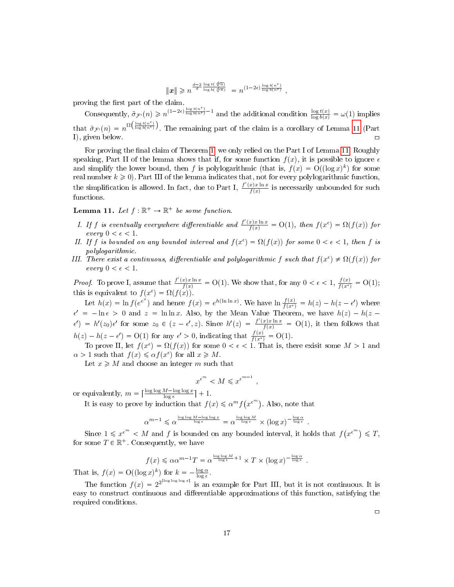$$
\|{\boldsymbol x}\| \geqslant n^{\frac{d-2}{d}\frac{\log t(\sqrt[d]{n})}{\log b(\sqrt[d]{n})}} \; = n^{(1-2\epsilon)\frac{\log t(n^{\epsilon})}{\log b(n^{\epsilon})}} \; ,
$$

proving the first part of the claim.

Consequently,  $\tilde{\sigma}_{\mathcal{F}'}(n) \geq n^{(1-2\epsilon)\frac{\log t(n^{\epsilon})}{\log b(n^{\epsilon})}-1}$  and the additional condition  $\frac{\log t(x)}{\log b(x)} = \omega(1)$  implies that  $\tilde{\sigma}_{\mathcal{F}'}(n) = n^{\Omega\left(\frac{\log t(n^{\epsilon})}{\log b(n^{\epsilon})}\right)}$ . The remaining part of the claim is a corollary of Lemma [11](#page-16-0) (Part I), given below.  $\Box$ 

For proving the final claim of Theorem [1,](#page-15-0) we only relied on the Part I of Lemma [11.](#page-16-0) Roughly speaking, Part II of the lemma shows that if, for some function  $f(x)$ , it is possible to ignore  $\epsilon$ and simplify the lower bound, then f is polylogarithmic (that is,  $f(x) = O((\log x)^k)$  for some real number  $k \geq 0$ ). Part III of the lemma indicates that, not for every polylogarithmic function, the simplification is allowed. In fact, due to Part I,  $\frac{f'(x)x\ln x}{f(x)}$  $\frac{x}{f(x)}$  is necessarily unbounded for such functions.

<span id="page-16-0"></span>**Lemma 11.** Let  $f : \mathbb{R}^+ \to \mathbb{R}^+$  be some function.

- I. If f is eventually everywhere differentiable and  $\frac{f'(x)x\ln x}{f(x)} = O(1)$ , then  $f(x^{\epsilon}) = \Omega(f(x))$  for every  $0 < \epsilon < 1$ .
- II. If f is bounded on any bounded interval and  $f(x^{\epsilon}) = \Omega(f(x))$  for some  $0 < \epsilon < 1$ , then f is polylogarithmic.
- III. There exist a continuous, differentiable and polylogarithmic f such that  $f(x^{\epsilon}) \neq \Omega(f(x))$  for every  $0 < \epsilon < 1$ .

*Proof.* To prove I, assume that  $\frac{f'(x)x\ln x}{f(x)} = O(1)$ . We show that, for any  $0 < \epsilon < 1$ ,  $\frac{f(x)}{f(x^{\epsilon})} = O(1)$ ; this is equivalent to  $f(x^{\epsilon}) = \Omega(f(x)).$ 

Let  $h(x) = \ln f(e^{e^x})$  and hence  $f(x) = e^{h(\ln \ln x)}$ . We have  $\ln \frac{f(x)}{f(x^{\epsilon})} = h(z) - h(z - \epsilon')$  where  $\epsilon' = -\ln \epsilon > 0$  and  $z = \ln \ln x$ . Also, by the Mean Value Theorem, we have  $h(z) - h(z - z)$  $\epsilon'$ ) =  $h'(z_0)\epsilon'$  for some  $z_0 \in (z-\epsilon', z)$ . Since  $h'(z) = \frac{f'(x)x\ln x}{f(x)} = O(1)$ , it then follows that  $h(z) - h(z - \epsilon') = O(1)$  for any  $\epsilon' > 0$ , indicating that  $\frac{f(x)}{f(x^{\epsilon})} = O(1)$ .

To prove II, let  $f(x^{\epsilon}) = \Omega(f(x))$  for some  $0 < \epsilon < 1$ . That is, there exisit some  $M > 1$  and  $\alpha > 1$  such that  $f(x) \leq \alpha f(x^{\epsilon})$  for all  $x \geq M$ .

Let  $x \geqslant M$  and choose an integer m such that

$$
x^{\epsilon^m} < M \leqslant x^{\epsilon^{m-1}} \;,
$$

or equivalently,  $m = \left\lceil \frac{\log \log M - \log \log x}{\log \epsilon} \right\rceil + 1$ .

It is easy to prove by induction that  $f(x) \leq \alpha^m f(x^{\epsilon^m})$ . Also, note that

$$
\alpha^{m-1} \leqslant \alpha^{\frac{\log\log M - \log\log x}{\log \epsilon}} = \alpha^{\frac{\log\log M}{\log \epsilon}} \times (\log x)^{-\frac{\log \alpha}{\log \epsilon}} \; .
$$

Since  $1 \leqslant x^{\epsilon^m} < M$  and f is bounded on any bounded interval, it holds that  $f(x^{\epsilon^m}) \leqslant T$ , for some  $T \in \mathbb{R}^+$ . Consequently, we have

$$
f(x) \leq \alpha \alpha^{m-1} T = \alpha^{\frac{\log \log M}{\log \epsilon}+1} \times T \times (\log x)^{-\frac{\log \alpha}{\log \epsilon}}
$$
.

That is,  $f(x) = O((\log x)^k)$  for  $k = -\frac{\log \alpha}{\log \epsilon}$ .

The function  $f(x) = 2^{2^{\lceil \log \log \log x \rceil}}$  is an example for Part III, but it is not continuous. It is easy to construct continuous and differentiable approximations of this function, satisfying the required conditions.

 $\Box$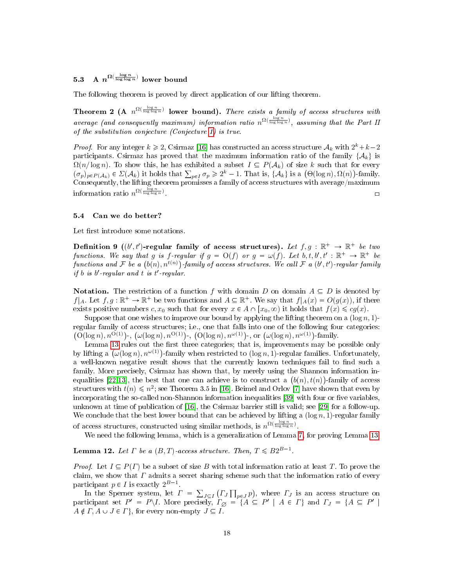# <span id="page-17-0"></span>5.3 A  $n^{\Omega(\frac{\log n}{\log \log n})}$  lower bound

The following theorem is proved by direct application of our lifting theorem.

**Theorem 2** (A  $n^{\Omega(\frac{\log n}{\log \log n})}$  lower bound). There exists a family of access structures with average (and consequently maximum) information ratio  $n^{\Omega(\frac{\log n}{\log\log n})}$ , assuming that the Part II of the substitution conjecture (Conjecture [1\)](#page-11-2) is true.

*Proof.* For any integer  $k \ge 2$ , Csirmaz [\[16\]](#page-19-7) has constructed an access structure  $\mathcal{A}_k$  with  $2^k + k - 2$ participants. Csirmaz has proved that the maximum information ratio of the family  $\{\mathcal{A}_k\}$  is  $\Omega(n/\log n)$ . To show this, he has exhibited a subset  $I \subseteq P(\mathcal{A}_k)$  of size k such that for every  $(\sigma_p)_{p \in P(\mathcal{A}_k)} \in \Sigma(\mathcal{A}_k)$  it holds that  $\sum_{p \in I} \sigma_p \geq 2^k - 1$ . That is,  $\{\mathcal{A}_k\}$  is a  $(\Theta(\log n), \Omega(n))$ -family. Consequently, the lifting theorem promisses a family of access structures with average/maximum information ratio  $n^{\Omega(\frac{\log n}{\log \log n})}$ . The contract of the contract of the contract of the contract of  $\Box$ 

# <span id="page-17-1"></span>5.4 Can we do better?

Let first introduce some notations.

Definition 9 ((b',t')-regular family of access structures). Let  $f, g : \mathbb{R}^+ \to \mathbb{R}^+$  be two functions. We say that g is f-regular if  $g = O(f)$  or  $g = \omega(f)$ . Let  $b, t, b', t' : \mathbb{R}^+ \to \mathbb{R}^+$  be functions and F be a  $(b(n), n^{t(n)})$ -family of access structures. We call F a  $(b', t')$ -regular family *if b is b'-regular and t is t'-regular.* 

**Notation.** The restriction of a function f with domain D on domain  $A \subseteq D$  is denoted by  $f|_A$ . Let  $f, g: \mathbb{R}^+ \to \mathbb{R}^+$  be two functions and  $A \subseteq \mathbb{R}^+$ . We say that  $f|_A(x) = O(g(x))$ , if there exists positive numbers c,  $x_0$  such that for every  $x \in A \cap [x_0, \infty)$  it holds that  $f(x) \leqslant cg(x)$ .

Suppose that one wishes to improve our bound by applying the lifting theorem on a  $(\log n, 1)$ regular family of access structures; i.e., one that falls into one of the following four categories:  $(O(\log n), n^{O(1)})$ ,  $(\omega(\log n), n^{O(1)})$ ,  $(O(\log n), n^{\omega(1)})$ , or  $(\omega(\log n), n^{\omega(1)})$ -family.

Lemma [13](#page-18-1) rules out the first three categories; that is, improvements may be possible only by lifting a  $(\omega(\log n), n^{\omega(1)})$ -family when restricted to  $(\log n, 1)$ -regular families. Unfortunately, a well-known negative result shows that the currently known techniques fail to find such a family. More precisely, Csirmaz has shown that, by merely using the Shannon information in-equalities [\[22](#page-20-10)[,13\]](#page-19-10), the best that one can achieve is to construct a  $(b(n), t(n))$ -family of access structures with  $t(n) \leqslant n^2$ ; see Theorem 3.5 in [\[16\]](#page-19-7). Beimel and Orlov [\[7\]](#page-19-11) have shown that even by incorporating the so-called non-Shannon information inequalities [\[39\]](#page-20-12) with four or five variables, unknown at time of publication of [\[16\]](#page-19-7), the Csirmaz barrier still is valid; see [\[29\]](#page-20-11) for a follow-up. We conclude that the best lower bound that can be achieved by lifting a  $(\log n, 1)$ -regular family of access structures, constructed using similar methods, is  $n^{\Omega(\frac{\log n}{\log \log n})}$ .

We need the following lemma, which is a generalization of Lemma [7,](#page-6-1) for proving Lemma [13.](#page-18-1)

# <span id="page-17-2"></span>**Lemma 12.** Let  $\Gamma$  be a  $(B, T)$ -access structure. Then,  $T \leq B2^{B-1}$ .

*Proof.* Let  $I \subseteq P(\Gamma)$  be a subset of size B with total information ratio at least T. To prove the claim, we show that  $\Gamma$  admits a secret sharing scheme such that the information ratio of every participant  $p \in I$  is exactly  $2^{B-1}$ .

In the Sperner system, let  $\Gamma = \sum_{J \subseteq I} ( \Gamma_J \prod_{p \in J} p )$ , where  $\Gamma_J$  is an access structure on participant set  $P' = P \setminus I$ . More precisely,  $\Gamma_{\emptyset} = \{A \subseteq P' \mid A \in \Gamma\}$  and  $\Gamma_J = \{A \subseteq P' \mid$  $A \notin \Gamma, A \cup J \in \Gamma$ , for every non-empty  $J \subseteq I$ .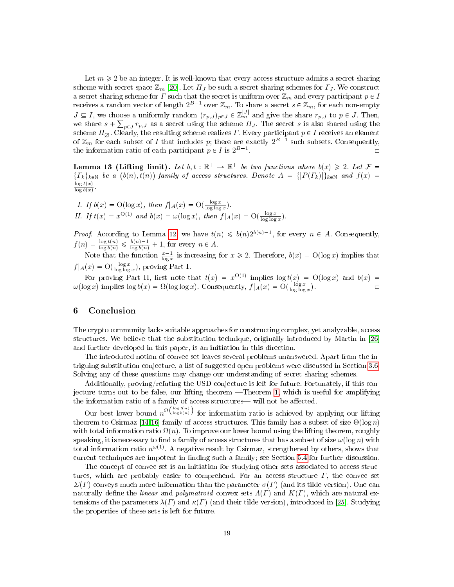Let  $m \geq 2$  be an integer. It is well-known that every access structure admits a secret sharing scheme with secret space  $\mathbb{Z}_m$  [\[20\]](#page-20-1). Let  $\Pi_J$  be such a secret sharing schemes for  $\Gamma_J$ . We construct a secret sharing scheme for  $\Gamma$  such that the secret is uniform over  $\mathbb{Z}_m$  and every participant  $p \in I$ receives a random vector of length  $2^{B-1}$  over  $\mathbb{Z}_m$ . To share a secret  $s \in \mathbb{Z}_m$ , for each non-empty  $J \subseteq I$ , we choose a uniformly random  $(r_{p,J})_{p \in J} \in \mathbb{Z}_m^{|J|}$  and give the share  $r_{p,J}$  to  $p \in J$ . Then, we share  $s + \sum_{p \in J} r_{p,J}$  as a secret using the scheme  $\Pi_J$ . The secret s is also shared using the scheme  $\Pi_{\varnothing}$ . Clearly, the resulting scheme realizes  $\varGamma$ . Every participant  $p\in I$  receives an element of  $\mathbb{Z}_m$  for each subset of I that includes p; there are exactly  $2^{B-1}$  such subsets. Consequently, the information ratio of each participant  $p \in I$  is  $2^{B-1}$ . The contract of the contract of  $\Box$ 

<span id="page-18-1"></span>**Lemma 13 (Lifting limit).** Let  $b, t : \mathbb{R}^+ \to \mathbb{R}^+$  be two functions where  $b(x) \geq 2$ . Let  $\mathcal{F} =$  ${F_k}_{k\in\mathbb{N}}$  be a  $(b(n), t(n))$ -family of access structures. Denote  $A = { |P(F_k)| \}_{k\in\mathbb{N}}$  and  $f(x) =$  $\log t(x)$  $\frac{\log t(x)}{\log b(x)}$ .

I. If 
$$
b(x) = O(\log x)
$$
, then  $f|_A(x) = O(\frac{\log x}{\log \log x})$ .  
\nII. If  $t(x) = x^{O(1)}$  and  $b(x) = \omega(\log x)$ , then  $f|_A(x) = O(\frac{\log x}{\log \log x})$ .

*Proof.* According to Lemma [12,](#page-17-2) we have  $t(n) \leq b(n)2^{b(n)-1}$ , for every  $n \in A$ . Consequently,  $f(n) = \frac{\log t(n)}{\log b(n)} \leq \frac{b(n)-1}{\log b(n)} + 1$ , for every  $n \in A$ .

Note that the function  $\frac{x-1}{\log x}$  is increasing for  $x \geq 2$ . Therefore,  $b(x) = O(\log x)$  implies that  $f|_A(x) = \mathcal{O}(\frac{\log x}{\log \log x})$ , proving Part I.

For proving Part II, first note that  $t(x) = x^{O(1)}$  implies  $\log t(x) = O(\log x)$  and  $b(x) =$  $\omega(\log x)$  implies  $\log b(x) = \Omega(\log \log x)$ . Consequently,  $f|_A(x) = O(\frac{\log x}{\log \log x})$ .

# <span id="page-18-0"></span>6 Conclusion

The crypto community lacks suitable approaches for constructing complex, yet analyzable, access structures. We believe that the substitution technique, originally introduced by Martin in [\[26\]](#page-20-2) and further developed in this paper, is an initiation in this direction.

The introduced notion of convec set leaves several problems unanswered. Apart from the intriguing substitution conjecture, a list of suggested open problems were discussed in Section [3.6.](#page-8-1) Solving any of these questions may change our understanding of secret sharing schemes.

Additionally, proving/refuting the USD conjecture is left for future. Fortunately, if this con-jecture turns out to be false, our lifting theorem —Theorem [1,](#page-15-0) which is useful for amplifying the information ratio of a family of access structures—will not be affected.

Our best lower bound  $n^{\Omega\left(\frac{\log t(n)}{\log b(n)}\right)}$  for information ratio is achieved by applying our lifting theorem to Csirmaz [\[14,](#page-19-8)[16\]](#page-19-7) family of access structures. This family has a subset of size  $\Theta(\log n)$ with total information ratio  $\Omega(n)$ . To improve our lower bound using the lifting theorem, roughly speaking, it is necessary to find a family of access structures that has a subset of size  $\omega(\log n)$  with total information ratio  $n^{\omega(1)}$ . A negative result by Csirmaz, strengthened by others, shows that current techniques are impotent in finding such a family; see Section [5.4](#page-17-1) for further discussion.

The concept of convec set is an initiation for studying other sets associated to access structures, which are probably easier to comprehend. For an access structure  $\Gamma$ , the convec set  $\Sigma(\Gamma)$  conveys much more information than the parameter  $\sigma(\Gamma)$  (and its tilde version). One can naturally define the linear and polymatroid convex sets  $\Lambda(\Gamma)$  and  $K(\Gamma)$ , which are natural extensions of the parameters  $\lambda(\Gamma)$  and  $\kappa(\Gamma)$  (and their tilde version), introduced in [\[25\]](#page-20-19). Studying the properties of these sets is left for future.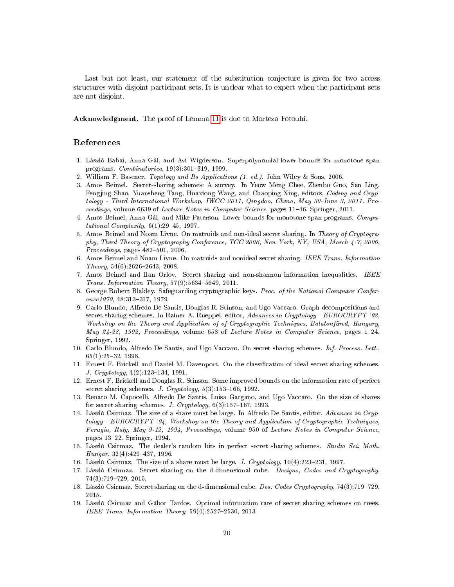Last but not least, our statement of the substitution conjecture is given for two access structures with disjoint participant sets. It is unclear what to expect when the participant sets are not disjoint.

Acknowledgment. The proof of Lemma [11](#page-16-0) is due to Morteza Fotouhi.

# References

- <span id="page-19-12"></span>1. László Babai, Anna Gál, and Avi Wigderson. Superpolynomial lower bounds for monotone span programs.  $Combinatorica$ ,  $19(3):301-319$ , 1999.
- <span id="page-19-14"></span>2. William F. Basener. Topology and Its Applications (1. ed.). John Wiley & Sons, 2006.
- <span id="page-19-6"></span>3. Amos Beimel. Secret-sharing schemes: A survey. In Yeow Meng Chee, Zhenbo Guo, San Ling, Fengjing Shao, Yuansheng Tang, Huaxiong Wang, and Chaoping Xing, editors, *Coding and Cryp*tology - Third International Workshop, IWCC 2011, Qingdao, China, May 30-June 3, 2011. Proceedings, volume 6639 of Lecture Notes in Computer Science, pages 11–46. Springer, 2011.
- <span id="page-19-13"></span>4. Amos Beimel, Anna Gál, and Mike Paterson. Lower bounds for monotone span programs. Computational Complexity,  $6(1):29-45$ , 1997.
- <span id="page-19-16"></span>5. Amos Beimel and Noam Livne. On matroids and non-ideal secret sharing. In Theory of Cryptography, Third Theory of Cryptography Conference, TCC 2006, New York, NY, USA, March 4-7, 2006,  $Proceedings, pages 482-501, 2006.$
- <span id="page-19-17"></span>6. Amos Beimel and Noam Livne. On matroids and nonideal secret sharing. IEEE Trans. Information  $Theory, 54(6):2626-2643, 2008.$
- <span id="page-19-11"></span>7. Amos Beimel and Ilan Orlov. Secret sharing and non-shannon information inequalities. IEEE Trans. Information Theory,  $57(9)$ :  $5634-5649$ , 2011.
- <span id="page-19-0"></span>8. George Robert Blakley. Safeguarding cryptographic keys. Proc. of the National Computer Confer $ence 1979, 48:313-317, 1979.$
- <span id="page-19-2"></span>9. Carlo Blundo, Alfredo De Santis, Douglas R. Stinson, and Ugo Vaccaro. Graph decompositions and secret sharing schemes. In Rainer A. Rueppel, editor, Advances in Cryptology - EUROCRYPT '92, Workshop on the Theory and Application of of Cryptographic Techniques, Balatonfüred, Hungary, May 24-28, 1992, Proceedings, volume 658 of Lecture Notes in Computer Science, pages 1–24. Springer, 1992.
- <span id="page-19-15"></span>10. Carlo Blundo, Alfredo De Santis, and Ugo Vaccaro. On secret sharing schemes. Inf. Process. Lett.,  $65(1):25-32, 1998.$
- <span id="page-19-3"></span>11. Ernest F. Brickell and Daniel M. Davenport. On the classification of ideal secret sharing schemes. J.  $Cryptology, 4(2):123-134, 1991.$
- <span id="page-19-1"></span>12. Ernest F. Brickell and Douglas R. Stinson. Some improved bounds on the information rate of perfect secret sharing schemes. J. Cryptology,  $5(3):153-166$ , 1992.
- <span id="page-19-10"></span>13. Renato M. Capocelli, Alfredo De Santis, Luisa Gargano, and Ugo Vaccaro. On the size of shares for secret sharing schemes. J. Cryptology,  $6(3):157-167$ , 1993.
- <span id="page-19-8"></span>14. László Csirmaz. The size of a share must be large. In Alfredo De Santis, editor, Advances in Cryptology - EUROCRYPT '94, Workshop on the Theory and Application of Cryptographic Techniques, Perugia, Italy, May 9-12, 1994, Proceedings, volume 950 of Lecture Notes in Computer Science, pages 1322. Springer, 1994.
- <span id="page-19-9"></span>15. László Csirmaz. The dealer's random bits in perfect secret sharing schemes. Studia Sci. Math.  $Hungar, 32(4):429-437, 1996.$
- <span id="page-19-7"></span>16. László Csirmaz. The size of a share must be large. J. Cryptology,  $10(4):223-231$ , 1997.
- <span id="page-19-5"></span>17. László Csirmaz. Secret sharing on the d-dimensional cube. Designs, Codes and Cryptography, 74(3):719729, 2015.
- 18. László Csirmaz. Secret sharing on the d-dimensional cube. Des. Codes Cryptography, 74(3):719-729, 2015.
- <span id="page-19-4"></span>19. László Csirmaz and Gábor Tardos. Optimal information rate of secret sharing schemes on trees. IEEE Trans. Information Theory,  $59(4):2527-2530$ , 2013.